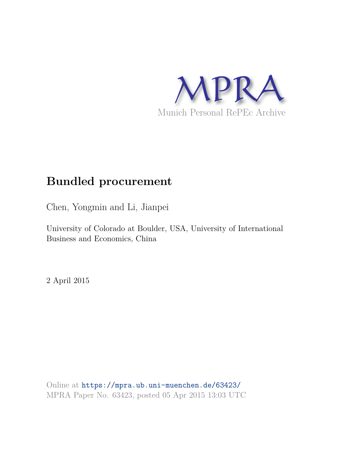

## **Bundled procurement**

Chen, Yongmin and Li, Jianpei

University of Colorado at Boulder, USA, University of International Business and Economics, China

2 April 2015

Online at https://mpra.ub.uni-muenchen.de/63423/ MPRA Paper No. 63423, posted 05 Apr 2015 13:03 UTC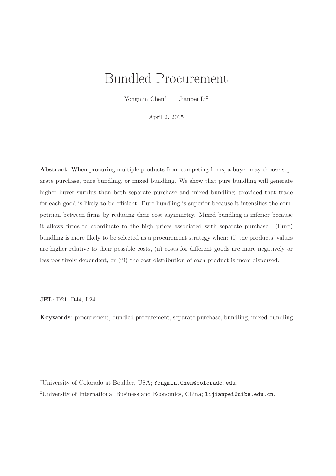# Bundled Procurement

Yongmin Chen<sup>†</sup> Jianpei Li<sup>‡</sup>

April 2, 2015

Abstract. When procuring multiple products from competing firms, a buyer may choose separate purchase, pure bundling, or mixed bundling. We show that pure bundling will generate higher buyer surplus than both separate purchase and mixed bundling, provided that trade for each good is likely to be efficient. Pure bundling is superior because it intensifies the competition between firms by reducing their cost asymmetry. Mixed bundling is inferior because it allows firms to coordinate to the high prices associated with separate purchase. (Pure) bundling is more likely to be selected as a procurement strategy when: (i) the products' values are higher relative to their possible costs, (ii) costs for different goods are more negatively or less positively dependent, or (iii) the cost distribution of each product is more dispersed.

JEL: D21, D44, L24

Keywords: procurement, bundled procurement, separate purchase, bundling, mixed bundling

†University of Colorado at Boulder, USA; Yongmin.Chen@colorado.edu. ‡University of International Business and Economics, China; lijianpei@uibe.edu.cn.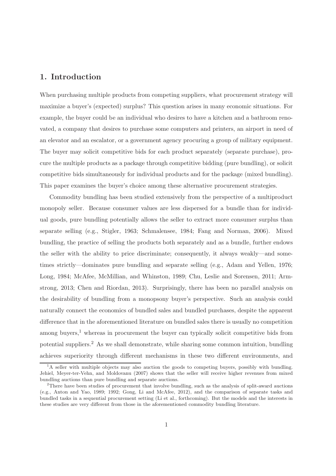#### 1. Introduction

When purchasing multiple products from competing suppliers, what procurement strategy will maximize a buyer's (expected) surplus? This question arises in many economic situations. For example, the buyer could be an individual who desires to have a kitchen and a bathroom renovated, a company that desires to purchase some computers and printers, an airport in need of an elevator and an escalator, or a government agency procuring a group of military equipment. The buyer may solicit competitive bids for each product separately (separate purchase), procure the multiple products as a package through competitive bidding (pure bundling), or solicit competitive bids simultaneously for individual products and for the package (mixed bundling). This paper examines the buyer's choice among these alternative procurement strategies.

Commodity bundling has been studied extensively from the perspective of a multiproduct monopoly seller. Because consumer values are less dispersed for a bundle than for individual goods, pure bundling potentially allows the seller to extract more consumer surplus than separate selling (e.g., Stigler, 1963; Schmalensee, 1984; Fang and Norman, 2006). Mixed bundling, the practice of selling the products both separately and as a bundle, further endows the seller with the ability to price discriminate; consequently, it always weakly—and sometimes strictly—dominates pure bundling and separate selling (e.g., Adam and Yellen, 1976; Long, 1984; McAfee, McMillian, and Whinston, 1989; Chu, Leslie and Sorensen, 2011; Armstrong, 2013; Chen and Riordan, 2013). Surprisingly, there has been no parallel analysis on the desirability of bundling from a monopsony buyer's perspective. Such an analysis could naturally connect the economics of bundled sales and bundled purchases, despite the apparent difference that in the aforementioned literature on bundled sales there is usually no competition among buyers, $<sup>1</sup>$  whereas in procurement the buyer can typically solicit competitive bids from</sup> potential suppliers.<sup>2</sup> As we shall demonstrate, while sharing some common intuition, bundling achieves superiority through different mechanisms in these two different environments, and

<sup>&</sup>lt;sup>1</sup>A seller with multiple objects may also auction the goods to competing buyers, possibly with bundling. Jehiel, Meyer-ter-Vehn, and Moldovanu (2007) shows that the seller will receive higher revenues from mixed bundling auctions than pure bundling and separate auctions.

<sup>&</sup>lt;sup>2</sup>There have been studies of procurement that involve bundling, such as the analysis of split-award auctions (e.g., Anton and Yao, 1989; 1992; Gong, Li and McAfee, 2012), and the comparison of separate tasks and bundled tasks in a sequential procurement setting (Li et al., forthcoming). But the models and the interests in these studies are very different from those in the aforementioned commodity bundling literature.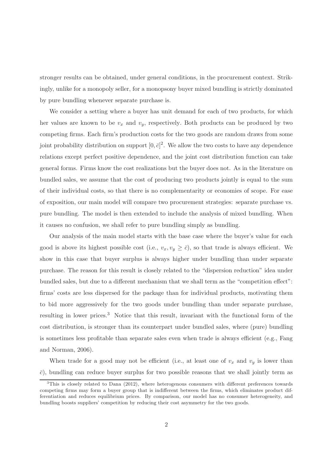stronger results can be obtained, under general conditions, in the procurement context. Strikingly, unlike for a monopoly seller, for a monopsony buyer mixed bundling is strictly dominated by pure bundling whenever separate purchase is.

We consider a setting where a buyer has unit demand for each of two products, for which her values are known to be  $v_x$  and  $v_y$ , respectively. Both products can be produced by two competing firms. Each firm's production costs for the two goods are random draws from some joint probability distribution on support  $[0, \bar{c}]^2$ . We allow the two costs to have any dependence relations except perfect positive dependence, and the joint cost distribution function can take general forms. Firms know the cost realizations but the buyer does not. As in the literature on bundled sales, we assume that the cost of producing two products jointly is equal to the sum of their individual costs, so that there is no complementarity or economies of scope. For ease of exposition, our main model will compare two procurement strategies: separate purchase vs. pure bundling. The model is then extended to include the analysis of mixed bundling. When it causes no confusion, we shall refer to pure bundling simply as bundling.

Our analysis of the main model starts with the base case where the buyer's value for each good is above its highest possible cost (i.e.,  $v_x, v_y \geq \bar{c}$ ), so that trade is always efficient. We show in this case that buyer surplus is always higher under bundling than under separate purchase. The reason for this result is closely related to the "dispersion reduction" idea under bundled sales, but due to a different mechanism that we shall term as the "competition effect": firms' costs are less dispersed for the package than for individual products, motivating them to bid more aggressively for the two goods under bundling than under separate purchase, resulting in lower prices.<sup>3</sup> Notice that this result, invariant with the functional form of the cost distribution, is stronger than its counterpart under bundled sales, where (pure) bundling is sometimes less profitable than separate sales even when trade is always efficient (e.g., Fang and Norman, 2006).

When trade for a good may not be efficient (i.e., at least one of  $v_x$  and  $v_y$  is lower than  $\bar{c}$ ), bundling can reduce buyer surplus for two possible reasons that we shall jointly term as

 $3$ This is closely related to Dana (2012), where heterogenous consumers with different preferences towards competing firms may form a buyer group that is indifferent between the firms, which eliminates product differentiation and reduces equilibrium prices. By comparison, our model has no consumer heterogeneity, and bundling boosts suppliers' competition by reducing their cost asymmetry for the two goods.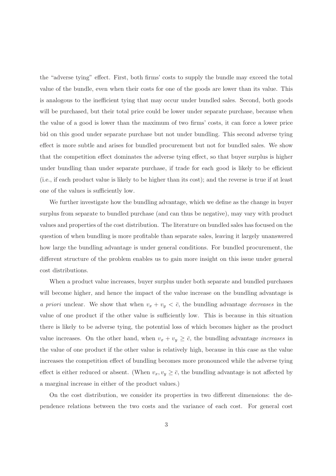the "adverse tying" effect. First, both firms' costs to supply the bundle may exceed the total value of the bundle, even when their costs for one of the goods are lower than its value. This is analogous to the inefficient tying that may occur under bundled sales. Second, both goods will be purchased, but their total price could be lower under separate purchase, because when the value of a good is lower than the maximum of two firms' costs, it can force a lower price bid on this good under separate purchase but not under bundling. This second adverse tying effect is more subtle and arises for bundled procurement but not for bundled sales. We show that the competition effect dominates the adverse tying effect, so that buyer surplus is higher under bundling than under separate purchase, if trade for each good is likely to be efficient (i.e., if each product value is likely to be higher than its cost); and the reverse is true if at least one of the values is sufficiently low.

We further investigate how the bundling advantage, which we define as the change in buyer surplus from separate to bundled purchase (and can thus be negative), may vary with product values and properties of the cost distribution. The literature on bundled sales has focused on the question of when bundling is more profitable than separate sales, leaving it largely unanswered how large the bundling advantage is under general conditions. For bundled procurement, the different structure of the problem enables us to gain more insight on this issue under general cost distributions.

When a product value increases, buyer surplus under both separate and bundled purchases will become higher, and hence the impact of the value increase on the bundling advantage is a priori unclear. We show that when  $v_x + v_y < \bar{c}$ , the bundling advantage *decreases* in the value of one product if the other value is sufficiently low. This is because in this situation there is likely to be adverse tying, the potential loss of which becomes higher as the product value increases. On the other hand, when  $v_x + v_y \geq \bar{c}$ , the bundling advantage *increases* in the value of one product if the other value is relatively high, because in this case as the value increases the competition effect of bundling becomes more pronounced while the adverse tying effect is either reduced or absent. (When  $v_x, v_y \geq \bar{c}$ , the bundling advantage is not affected by a marginal increase in either of the product values.)

On the cost distribution, we consider its properties in two different dimensions: the dependence relations between the two costs and the variance of each cost. For general cost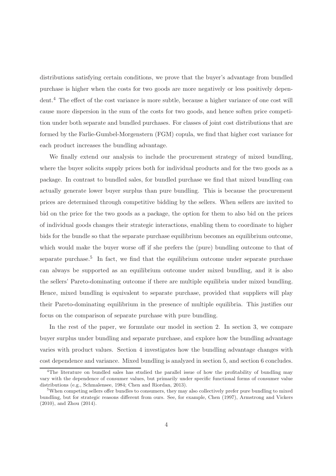distributions satisfying certain conditions, we prove that the buyer's advantage from bundled purchase is higher when the costs for two goods are more negatively or less positively dependent.<sup>4</sup> The effect of the cost variance is more subtle, because a higher variance of one cost will cause more dispersion in the sum of the costs for two goods, and hence soften price competition under both separate and bundled purchases. For classes of joint cost distributions that are formed by the Farlie-Gumbel-Morgenstern (FGM) copula, we find that higher cost variance for each product increases the bundling advantage.

We finally extend our analysis to include the procurement strategy of mixed bundling, where the buyer solicits supply prices both for individual products and for the two goods as a package. In contrast to bundled sales, for bundled purchase we find that mixed bundling can actually generate lower buyer surplus than pure bundling. This is because the procurement prices are determined through competitive bidding by the sellers. When sellers are invited to bid on the price for the two goods as a package, the option for them to also bid on the prices of individual goods changes their strategic interactions, enabling them to coordinate to higher bids for the bundle so that the separate purchase equilibrium becomes an equilibrium outcome, which would make the buyer worse off if she prefers the (pure) bundling outcome to that of separate purchase.<sup>5</sup> In fact, we find that the equilibrium outcome under separate purchase can always be supported as an equilibrium outcome under mixed bundling, and it is also the sellers' Pareto-dominating outcome if there are multiple equilibria under mixed bundling. Hence, mixed bundling is equivalent to separate purchase, provided that suppliers will play their Pareto-dominating equilibrium in the presence of multiple equilibria. This justifies our focus on the comparison of separate purchase with pure bundling.

In the rest of the paper, we formulate our model in section 2. In section 3, we compare buyer surplus under bundling and separate purchase, and explore how the bundling advantage varies with product values. Section 4 investigates how the bundling advantage changes with cost dependence and variance. Mixed bundling is analyzed in section 5, and section 6 concludes.

<sup>&</sup>lt;sup>4</sup>The literature on bundled sales has studied the parallel issue of how the profitability of bundling may vary with the dependence of consumer values, but primarily under specific functional forms of consumer value distributions (e.g., Schmalensee, 1984; Chen and Riordan, 2013).

<sup>&</sup>lt;sup>5</sup>When competing sellers offer bundles to consumers, they may also collectively prefer pure bundling to mixed bundling, but for strategic reasons different from ours. See, for example, Chen (1997), Armstrong and Vickers (2010), and Zhou (2014).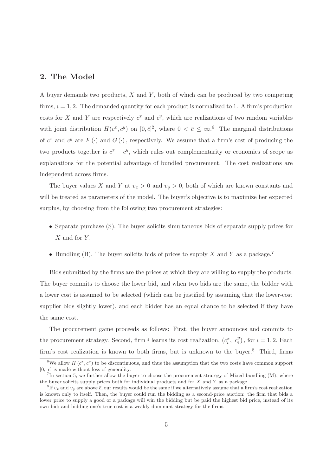### 2. The Model

A buyer demands two products, X and Y , both of which can be produced by two competing firms,  $i = 1, 2$ . The demanded quantity for each product is normalized to 1. A firm's production costs for X and Y are respectively  $c^x$  and  $c^y$ , which are realizations of two random variables with joint distribution  $H(c^x, c^y)$  on  $[0, \bar{c}]^2$ , where  $0 < \bar{c} \leq \infty$ .<sup>6</sup> The marginal distributions of  $c^x$  and  $c^y$  are  $F(\cdot)$  and  $G(\cdot)$ , respectively. We assume that a firm's cost of producing the two products together is  $c^x + c^y$ , which rules out complementarity or economies of scope as explanations for the potential advantage of bundled procurement. The cost realizations are independent across firms.

The buyer values X and Y at  $v_x > 0$  and  $v_y > 0$ , both of which are known constants and will be treated as parameters of the model. The buyer's objective is to maximize her expected surplus, by choosing from the following two procurement strategies:

- Separate purchase (S). The buyer solicits simultaneous bids of separate supply prices for X and for Y.
- Bundling (B). The buyer solicits bids of prices to supply X and Y as a package.<sup>7</sup>

Bids submitted by the firms are the prices at which they are willing to supply the products. The buyer commits to choose the lower bid, and when two bids are the same, the bidder with a lower cost is assumed to be selected (which can be justified by assuming that the lower-cost supplier bids slightly lower), and each bidder has an equal chance to be selected if they have the same cost.

The procurement game proceeds as follows: First, the buyer announces and commits to the procurement strategy. Second, firm *i* learns its cost realization,  $(c_i^x, c_i^y)$  $i_j^y$ , for  $i = 1, 2$ . Each firm's cost realization is known to both firms, but is unknown to the buyer.<sup>8</sup> Third, firms

<sup>&</sup>lt;sup>6</sup>We allow  $H(c^x, c^y)$  to be discontinuous, and thus the assumption that the two costs have common support  $[0, \bar{c}]$  is made without loss of generality.

 ${}^{7}$ In section 5, we further allow the buyer to choose the procurement strategy of Mixed bundling (M), where the buyer solicits supply prices both for individual products and for  $X$  and  $Y$  as a package.

<sup>&</sup>lt;sup>8</sup>If  $v_x$  and  $v_y$  are above  $\bar{c}$ , our results would be the same if we alternatively assume that a firm's cost realization is known only to itself. Then, the buyer could run the bidding as a second-price auction: the firm that bids a lower price to supply a good or a package will win the bidding but be paid the highest bid price, instead of its own bid; and bidding one's true cost is a weakly dominant strategy for the firms.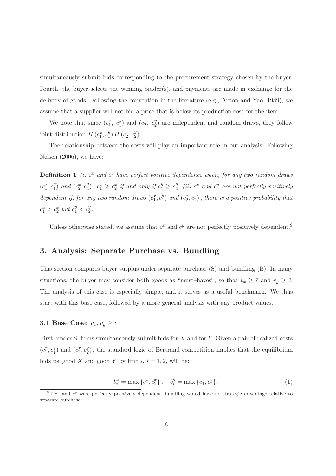simultaneously submit bids corresponding to the procurement strategy chosen by the buyer. Fourth, the buyer selects the winning bidder(s), and payments are made in exchange for the delivery of goods. Following the convention in the literature (e.g., Anton and Yao, 1989), we assume that a supplier will not bid a price that is below its production cost for the item.

We note that since  $(c_1^x, c_1^y)$  $_1^y$ ) and  $(c_2^x, c_2^y)$  $_{2}^{y}$ ) are independent and random draws, they follow joint distribution  $H(c_1^x, c_1^y)$  $_{1}^{y}$ )  $H(c_{2}^{x}, c_{2}^{y})$  $_{2}^{y}$ ).

The relationship between the costs will play an important role in our analysis. Following Nelsen (2006), we have:

**Definition 1** (i)  $c^x$  and  $c^y$  have perfect positive dependence when, for any two random draws  $(c_1^x, c_1^y)$  $_1^y$ ) and  $(c_2^x, c_2^y)$  $\binom{y}{2}$ ,  $c_1^x \geq c_2^x$  if and only if  $c_1^y \geq c_2^y$  $\stackrel{y}{2}$ . (ii)  $c^x$  and  $c^y$  are not perfectly positively dependent if, for any two random draws  $(c_1^x, c_1^y)$  $_1^y$ ) and  $(c_2^x, c_2^y)$  $\binom{y}{2}$ , there is a positive probability that  $c_1^x > c_2^x$  but  $c_1^y < c_2^y$ .

Unless otherwise stated, we assume that  $c^x$  and  $c^y$  are not perfectly positively dependent.<sup>9</sup>

#### 3. Analysis: Separate Purchase vs. Bundling

This section compares buyer surplus under separate purchase (S) and bundling (B). In many situations, the buyer may consider both goods as "must-haves", so that  $v_x \geq \bar{c}$  and  $v_y \geq \bar{c}$ . The analysis of this case is especially simple, and it serves as a useful benchmark. We thus start with this base case, followed by a more general analysis with any product values.

## 3.1 Base Case:  $v_x, v_y \geq \overline{c}$

First, under S, firms simultaneously submit bids for X and for Y. Given a pair of realized costs  $(c_1^x, c_1^y)$  $_1^y$ ) and  $(c_2^x, c_2^y)$  $2<sup>y</sup>$ , the standard logic of Bertrand competition implies that the equilibrium bids for good X and good Y by firm  $i, i = 1, 2$ , will be:

$$
b_i^x = \max\left\{c_1^x, c_2^x\right\}, \quad b_i^y = \max\left\{c_1^y, c_2^y\right\}.
$$
 (1)

<sup>&</sup>lt;sup>9</sup>If  $c^x$  and  $c^y$  were perfectly positively dependent, bundling would have no strategic advantage relative to separate purchase.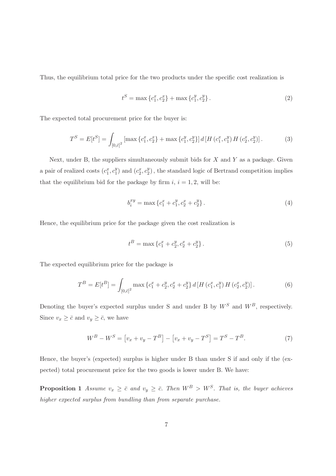Thus, the equilibrium total price for the two products under the specific cost realization is

$$
t^{S} = \max \left\{ c_{1}^{x}, c_{2}^{x} \right\} + \max \left\{ c_{1}^{y}, c_{2}^{y} \right\}.
$$
 (2)

The expected total procurement price for the buyer is:

$$
T^{S} = E[t^{S}] = \int_{[0,\bar{c}]^{2}} \left[ \max \left\{ c_{1}^{x}, c_{2}^{x} \right\} + \max \left\{ c_{1}^{y}, c_{2}^{y} \right\} \right] d \left[ H \left( c_{1}^{x}, c_{1}^{y} \right) H \left( c_{2}^{x}, c_{2}^{y} \right) \right]. \tag{3}
$$

Next, under B, the suppliers simultaneously submit bids for  $X$  and  $Y$  as a package. Given a pair of realized costs  $(c_1^x, c_1^y)$  $_1^y$ ) and  $(c_2^x, c_2^y)$  $_{2}^{y}$ , the standard logic of Bertrand competition implies that the equilibrium bid for the package by firm  $i, i = 1, 2$ , will be:

$$
b_i^{xy} = \max \left\{ c_1^x + c_1^y, c_2^x + c_2^y \right\}.
$$
\n<sup>(4)</sup>

Hence, the equilibrium price for the package given the cost realization is

$$
t^B = \max \left\{ c_1^x + c_2^y, c_2^x + c_2^y \right\}.
$$
\n<sup>(5)</sup>

The expected equilibrium price for the package is

$$
T^{B} = E[t^{B}] = \int_{[0,\bar{c}]^{2}} \max \left\{ c_{1}^{x} + c_{2}^{y}, c_{2}^{x} + c_{2}^{y} \right\} d\left[ H\left(c_{1}^{x}, c_{1}^{y}\right) H\left(c_{2}^{x}, c_{2}^{y}\right) \right]. \tag{6}
$$

Denoting the buyer's expected surplus under S and under B by  $W^S$  and  $W^B$ , respectively. Since  $v_x \geq \bar{c}$  and  $v_y \geq \bar{c}$ , we have

$$
W^{B} - W^{S} = [v_x + v_y - T^{B}] - [v_x + v_y - T^{S}] = T^{S} - T^{B}.
$$
\n(7)

Hence, the buyer's (expected) surplus is higher under B than under S if and only if the (expected) total procurement price for the two goods is lower under B. We have:

**Proposition 1** Assume  $v_x \geq \bar{c}$  and  $v_y \geq \bar{c}$ . Then  $W^B > W^S$ . That is, the buyer achieves higher expected surplus from bundling than from separate purchase.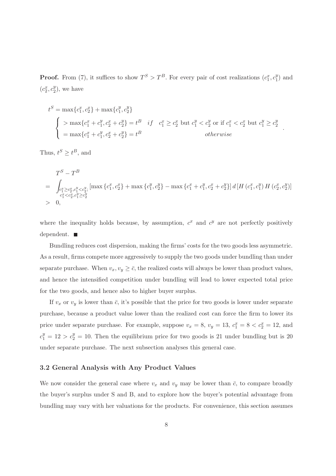**Proof.** From (7), it suffices to show  $T^S > T^B$ . For every pair of cost realizations  $(c_1^x, c_1^y)$  $_{1}^{y}$ ) and  $(c_2^x, c_2^y)$  $_{2}^{y}),$  we have

$$
t^{S} = \max\{c_{1}^{x}, c_{2}^{x}\} + \max\{c_{1}^{y}, c_{2}^{y}\}\
$$
  
\n
$$
\begin{cases}\n> \max\{c_{1}^{x} + c_{1}^{y}, c_{2}^{x} + c_{2}^{y}\} = t^{B} & if \quad c_{1}^{x} \ge c_{2}^{x} \text{ but } c_{1}^{y} < c_{2}^{y} \text{ or if } c_{1}^{x} < c_{2}^{x} \text{ but } c_{1}^{y} \ge c_{2}^{y} \\
= \max\{c_{1}^{x} + c_{1}^{y}, c_{2}^{x} + c_{2}^{y}\} = t^{B} & otherwise\n\end{cases}
$$

.

Thus,  $t^S \geq t^B$ , and

$$
T^{S} - T^{B}
$$
\n
$$
= \int_{\substack{c_{1}^{x} \ge c_{2}^{x}, c_{1}^{y} < c_{2}^{y}; \\ c_{1}^{x} < c_{2}^{x}, c_{1}^{y} \ge c_{2}^{y}}} \left[ \max \left\{ c_{1}^{x}, c_{2}^{x} \right\} + \max \left\{ c_{1}^{y}, c_{2}^{y} \right\} - \max \left\{ c_{1}^{x} + c_{1}^{y}, c_{2}^{x} + c_{2}^{y} \right\} \right] d \left[ H \left( c_{1}^{x}, c_{1}^{y} \right) H \left( c_{2}^{x}, c_{2}^{y} \right) \right]
$$
\n
$$
> 0,
$$

where the inequality holds because, by assumption,  $c^x$  and  $c^y$  are not perfectly positively dependent.

Bundling reduces cost dispersion, making the firms' costs for the two goods less asymmetric. As a result, firms compete more aggressively to supply the two goods under bundling than under separate purchase. When  $v_x, v_y \geq \bar{c}$ , the realized costs will always be lower than product values, and hence the intensified competition under bundling will lead to lower expected total price for the two goods, and hence also to higher buyer surplus.

If  $v_x$  or  $v_y$  is lower than  $\bar{c}$ , it's possible that the price for two goods is lower under separate purchase, because a product value lower than the realized cost can force the firm to lower its price under separate purchase. For example, suppose  $v_x = 8$ ,  $v_y = 13$ ,  $c_1^x = 8 < c_2^x = 12$ , and  $c_1^y = 12 > c_2^y = 10$ . Then the equilibrium price for two goods is 21 under bundling but is 20 under separate purchase. The next subsection analyses this general case.

#### 3.2 General Analysis with Any Product Values

We now consider the general case where  $v_x$  and  $v_y$  may be lower than  $\bar{c}$ , to compare broadly the buyer's surplus under S and B, and to explore how the buyer's potential advantage from bundling may vary with her valuations for the products. For convenience, this section assumes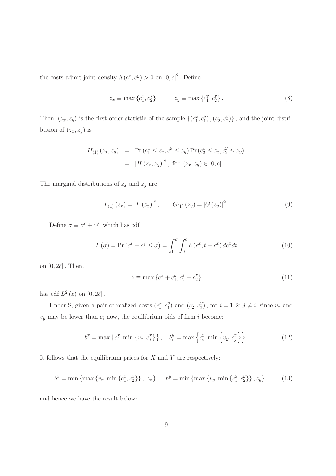the costs admit joint density  $h(c^x, c^y) > 0$  on  $[0, \bar{c}]^2$ . Define

$$
z_x \equiv \max \{c_1^x, c_2^x\}; \qquad z_y \equiv \max \{c_1^y, c_2^y\}. \tag{8}
$$

Then,  $(z_x, z_y)$  is the first order statistic of the sample  $\{(c_1^x, c_1^y)$  $_1^y), (c_2^x, c_2^y)$  $\{20\}$ , and the joint distribution of  $(z_x, z_y)$  is

$$
H_{(1)}(z_x, z_y) = \Pr(c_1^x \le z_x, c_1^y \le z_y) \Pr(c_2^x \le z_x, c_2^y \le z_y)
$$
  
= 
$$
[H(z_x, z_y)]^2, \text{ for } (z_x, z_y) \in [0, \bar{c}].
$$

The marginal distributions of  $z_x$  and  $z_y$  are

$$
F_{(1)}(z_x) = [F(z_x)]^2, \qquad G_{(1)}(z_y) = [G(z_y)]^2.
$$
 (9)

Define  $\sigma \equiv c^x + c^y$ , which has cdf

$$
L(\sigma) = \Pr(c^x + c^y \le \sigma) = \int_0^{\sigma} \int_0^{\bar{c}} h(c^x, t - c^x) d c^x dt \qquad (10)
$$

on  $[0, 2\bar{c}]$ . Then,

$$
z \equiv \max \left\{ c_1^x + c_1^y, c_2^x + c_2^y \right\} \tag{11}
$$

has cdf  $L^2(z)$  on  $[0, 2\bar{c}]$ .

Under S, given a pair of realized costs  $(c_1^x, c_1^y)$  $_1^y$ ) and  $(c_2^x, c_2^y)$  $2^y$ , for  $i = 1, 2; j \neq i$ , since  $v_x$  and  $v_y$  may be lower than  $c_i$  now, the equilibrium bids of firm  $i$  become:

$$
b_i^x = \max\left\{c_i^x, \min\left\{v_x, c_j^x\right\}\right\}, \quad b_i^y = \max\left\{c_i^y, \min\left\{v_y, c_j^y\right\}\right\}.
$$
 (12)

It follows that the equilibrium prices for  $X$  and  $Y$  are respectively:

$$
b^{x} = \min\left\{\max\left\{v_{x}, \min\left\{c_{1}^{x}, c_{2}^{x}\right\}\right\}, \ z_{x}\right\}, \quad b^{y} = \min\left\{\max\left\{v_{y}, \min\left\{c_{1}^{y}, c_{2}^{y}\right\}\right\}, z_{y}\right\},\tag{13}
$$

and hence we have the result below: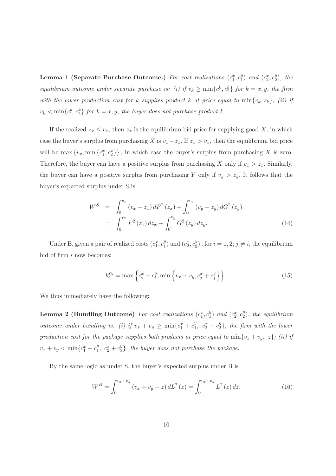Lemma 1 (Separate Purchase Outcome.) For cost realizations  $(c_1^x, c_1^y)$  $_1^y$ ) and  $(c_2^x, c_2^y)$  $_{2}^{y}), the$ equilibrium outcome under separate purchase is: (i) if  $v_k \ge \min\{c_1^k, c_2^k\}$  for  $k = x, y$ , the firm with the lower production cost for k supplies product k at price equal to  $min\{v_k, z_k\}$ ; (ii) if  $v_k < \min\{c_1^k, c_2^k\}$  for  $k = x, y$ , the buyer does not purchase product k.

If the realized  $z_x \leq v_x$ , then  $z_x$  is the equilibrium bid price for supplying good X, in which case the buyer's surplus from purchasing X is  $v_x - z_x$ . If  $z_x > v_x$ , then the equilibrium bid price will be  $\max\{v_x, \min\{c_1^x, c_2^x\}\}\$ , in which case the buyer's surplus from purchasing X is zero. Therefore, the buyer can have a positive surplus from purchasing X only if  $v_x > z_x$ . Similarly, the buyer can have a positive surplus from purchasing Y only if  $v_y > z_y$ . It follows that the buyer's expected surplus under S is

$$
W^{S} = \int_{0}^{v_{x}} (v_{x} - z_{x}) dF^{2}(z_{x}) + \int_{0}^{v_{y}} (v_{y} - z_{y}) dG^{2}(z_{y})
$$
  
= 
$$
\int_{0}^{v_{x}} F^{2}(z_{x}) dz_{x} + \int_{0}^{v_{y}} G^{2}(z_{y}) dz_{y}.
$$
 (14)

Under B, given a pair of realized costs  $(c_1^x, c_1^y)$  $_1^y$ ) and  $(c_2^x, c_2^y)$  $2^y$ , for  $i = 1, 2; j \neq i$ , the equilibrium bid of firm  $i$  now becomes:

$$
b_i^{xy} = \max \left\{ c_i^x + c_i^y, \min \left\{ v_x + v_y, c_j^x + c_j^y \right\} \right\}.
$$
 (15)

We thus immediately have the following:

Lemma 2 (Bundling Outcome) For cost realizations  $(c_1^x, c_1^y)$  $_1^y$ ) and  $(c_2^x, c_2^y)$  $2^y$ ), the equilibrium outcome under bundling is: (i) if  $v_x + v_y \ge \min\{c_1^x + c_1^y\}$  $c_1^y$ ,  $c_2^x + c_2^y$  $\binom{y}{2}$ , the firm with the lower production cost for the package supplies both products at price equal to  $min{v_x + v_y, z}$ ; (ii) if  $v_x + v_y < \min\{c_1^x + c_1^y\}$  $c_1^y$ ,  $c_2^x + c_2^y$  $2<sup>y</sup>$ , the buyer does not purchase the package.

By the same logic as under S, the buyer's expected surplus under B is

$$
W^{B} = \int_{0}^{v_x + v_y} (v_x + v_y - z) dL^{2}(z) = \int_{0}^{v_x + v_y} L^{2}(z) dz.
$$
 (16)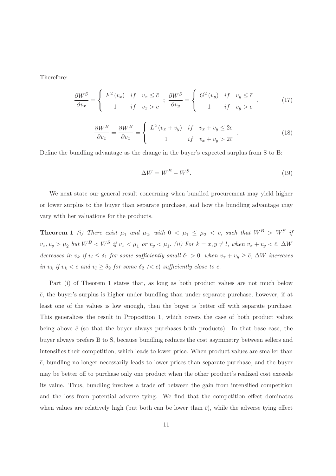Therefore:

$$
\frac{\partial W^S}{\partial v_x} = \begin{cases} F^2(v_x) & \text{if} \quad v_x \le \bar{c} \\ 1 & \text{if} \quad v_x > \bar{c} \end{cases}; \frac{\partial W^S}{\partial v_y} = \begin{cases} G^2(v_y) & \text{if} \quad v_y \le \bar{c} \\ 1 & \text{if} \quad v_y > \bar{c} \end{cases}, \tag{17}
$$

$$
\frac{\partial W^B}{\partial v_x} = \frac{\partial W^B}{\partial v_x} = \begin{cases} L^2 \left( v_x + v_y \right) & \text{if} \quad v_x + v_y \le 2\bar{c} \\ 1 & \text{if} \quad v_x + v_y > 2\bar{c} \end{cases} \tag{18}
$$

Define the bundling advantage as the change in the buyer's expected surplus from S to B:

$$
\Delta W = W^B - W^S. \tag{19}
$$

We next state our general result concerning when bundled procurement may yield higher or lower surplus to the buyer than separate purchase, and how the bundling advantage may vary with her valuations for the products.

**Theorem 1** (i) There exist  $\mu_1$  and  $\mu_2$ , with  $0 < \mu_1 \leq \mu_2 < \overline{c}$ , such that  $W^B > W^S$  if  $v_x, v_y > \mu_2$  but  $W^B < W^S$  if  $v_x < \mu_1$  or  $v_y < \mu_1$ . (ii) For  $k = x, y \neq l$ , when  $v_x + v_y < \bar{c}$ ,  $\Delta W$ decreases in  $v_k$  if  $v_l \leq \delta_1$  for some sufficiently small  $\delta_1 > 0$ ; when  $v_x + v_y \geq \overline{c}$ ,  $\Delta W$  increases in  $v_k$  if  $v_k < \bar{c}$  and  $v_l \geq \delta_2$  for some  $\delta_2$   $( $\bar{c}$ ) sufficiently close to  $\bar{c}$ .$ 

Part (i) of Theorem 1 states that, as long as both product values are not much below  $\bar{c}$ , the buyer's surplus is higher under bundling than under separate purchase; however, if at least one of the values is low enough, then the buyer is better off with separate purchase. This generalizes the result in Proposition 1, which covers the case of both product values being above  $\bar{c}$  (so that the buyer always purchases both products). In that base case, the buyer always prefers B to S, because bundling reduces the cost asymmetry between sellers and intensifies their competition, which leads to lower price. When product values are smaller than  $\bar{c}$ , bundling no longer necessarily leads to lower prices than separate purchase, and the buyer may be better off to purchase only one product when the other product's realized cost exceeds its value. Thus, bundling involves a trade off between the gain from intensified competition and the loss from potential adverse tying. We find that the competition effect dominates when values are relatively high (but both can be lower than  $\bar{c}$ ), while the adverse tying effect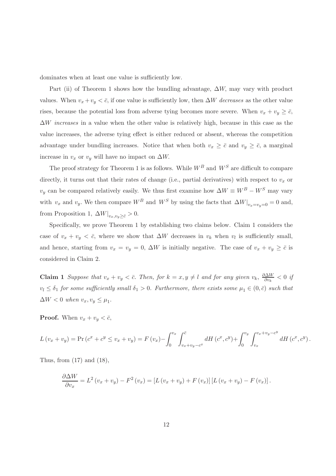dominates when at least one value is sufficiently low.

Part (ii) of Theorem 1 shows how the bundling advantage,  $\Delta W$ , may vary with product values. When  $v_x + v_y < \bar{c}$ , if one value is sufficiently low, then  $\Delta W$  decreases as the other value rises, because the potential loss from adverse tying becomes more severe. When  $v_x + v_y \ge \overline{c}$ ,  $\Delta W$  increases in a value when the other value is relatively high, because in this case as the value increases, the adverse tying effect is either reduced or absent, whereas the competition advantage under bundling increases. Notice that when both  $v_x \geq \bar{c}$  and  $v_y \geq \bar{c}$ , a marginal increase in  $v_x$  or  $v_y$  will have no impact on  $\Delta W$ .

The proof strategy for Theorem 1 is as follows. While  $W^B$  and  $W^S$  are difficult to compare directly, it turns out that their rates of change (i.e., partial derivatives) with respect to  $v_x$  or  $v_y$  can be compared relatively easily. We thus first examine how  $\Delta W \equiv W^B - W^S$  may vary with  $v_x$  and  $v_y$ . We then compare  $W^B$  and  $W^S$  by using the facts that  $\Delta W|_{v_x=v_y=0}=0$  and, from Proposition 1,  $\Delta W|_{v_x,v_y \geq \bar{c}} > 0$ .

Specifically, we prove Theorem 1 by establishing two claims below. Claim 1 considers the case of  $v_x + v_y < \bar{c}$ , where we show that  $\Delta W$  decreases in  $v_k$  when  $v_l$  is sufficiently small, and hence, starting from  $v_x = v_y = 0$ ,  $\Delta W$  is initially negative. The case of  $v_x + v_y \geq \overline{c}$  is considered in Claim 2.

**Claim 1** Suppose that  $v_x + v_y < \bar{c}$ . Then, for  $k = x, y \neq l$  and for any given  $v_k$ ,  $\frac{\partial \Delta W}{\partial v_k}$  $\frac{\partial \Delta W}{\partial v_k} < 0$  if  $v_l \leq \delta_1$  for some sufficiently small  $\delta_1 > 0$ . Furthermore, there exists some  $\mu_1 \in (0, \bar{c})$  such that  $\Delta W < 0$  when  $v_x, v_y \leq \mu_1$ .

**Proof.** When  $v_x + v_y < \bar{c}$ ,

$$
L(v_x + v_y) = \Pr(c^x + c^y \le v_x + v_y) = F(v_x) - \int_0^{v_x} \int_{v_x + v_y - c^x}^{\overline{c}} dH(c^x, c^y) + \int_0^{v_y} \int_{v_x}^{v_x + v_y - c^y} dH(c^x, c^y).
$$

Thus, from (17) and (18),

$$
\frac{\partial \Delta W}{\partial v_x} = L^2 (v_x + v_y) - F^2 (v_x) = [L (v_x + v_y) + F (v_x)] [L (v_x + v_y) - F (v_x)].
$$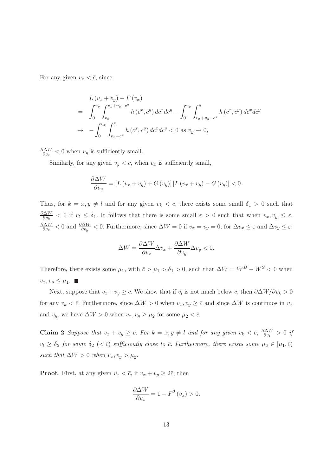For any given  $v_x < \bar{c}$ , since

$$
L(v_x + v_y) - F(v_x)
$$
  
=  $\int_0^{v_y} \int_{v_x}^{v_x + v_y - c^y} h(c^x, c^y) dc^x dc^y - \int_0^{v_x} \int_{v_x + v_y - c^x}^{\overline{c}} h(c^x, c^y) dc^x dc^y$   
 $\to - \int_0^{v_x} \int_{v_x - c^x}^{\overline{c}} h(c^x, c^y) dc^x dc^y < 0$  as  $v_y \to 0$ ,

∂∆W  $\frac{\partial \Delta W}{\partial v_x}$  < 0 when  $v_y$  is sufficiently small.

Similarly, for any given  $v_y < \bar{c}$ , when  $v_x$  is sufficiently small,

$$
\frac{\partial \Delta W}{\partial v_y} = \left[ L \left( v_x + v_y \right) + G \left( v_y \right) \right] \left[ L \left( v_x + v_y \right) - G \left( v_y \right) \right] < 0.
$$

Thus, for  $k = x, y \neq l$  and for any given  $v_k < \bar{c}$ , there exists some small  $\delta_1 > 0$  such that ∂∆W  $\frac{\partial \Delta W}{\partial v_k}$  < 0 if  $v_l \leq \delta_1$ . It follows that there is some small  $\varepsilon > 0$  such that when  $v_x, v_y \leq \varepsilon$ , ∂∆W  $\frac{\partial \Delta W}{\partial v_x}$  < 0 and  $\frac{\partial \Delta W}{\partial v_y}$  < 0. Furthermore, since  $\Delta W = 0$  if  $v_x = v_y = 0$ , for  $\Delta v_x \leq \varepsilon$  and  $\Delta v_y \leq \varepsilon$ :

$$
\Delta W = \frac{\partial \Delta W}{\partial v_x} \Delta v_x + \frac{\partial \Delta W}{\partial v_y} \Delta v_y < 0.
$$

Therefore, there exists some  $\mu_1$ , with  $\bar{c} > \mu_1 > \delta_1 > 0$ , such that  $\Delta W = W^B - W^S < 0$  when  $v_x, v_y \leq \mu_1.$ 

Next, suppose that  $v_x + v_y \geq \bar{c}$ . We show that if  $v_l$  is not much below  $\bar{c}$ , then  $\partial \Delta W / \partial v_k > 0$ for any  $v_k < \bar{c}$ . Furthermore, since  $\Delta W > 0$  when  $v_x, v_y \ge \bar{c}$  and since  $\Delta W$  is continuos in  $v_x$ and  $v_y$ , we have  $\Delta W > 0$  when  $v_x, v_y \ge \mu_2$  for some  $\mu_2 < \bar{c}$ .

**Claim 2** Suppose that  $v_x + v_y \geq \bar{c}$ . For  $k = x, y \neq l$  and for any given  $v_k < \bar{c}$ ,  $\frac{\partial \Delta W}{\partial v_k}$  $\frac{\partial \Delta W}{\partial v_k} > 0$  if  $v_l \ge \delta_2$  for some  $\delta_2$  ( $< \bar{c}$ ) sufficiently close to  $\bar{c}$ . Furthermore, there exists some  $\mu_2 \in [\mu_1, \bar{c})$ such that  $\Delta W > 0$  when  $v_x, v_y > \mu_2$ .

**Proof.** First, at any given  $v_x < \bar{c}$ , if  $v_x + v_y \geq 2\bar{c}$ , then

$$
\frac{\partial \Delta W}{\partial v_x} = 1 - F^2(v_x) > 0.
$$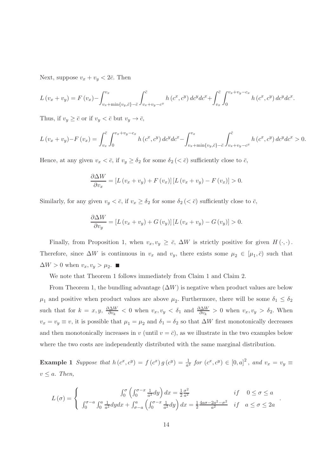Next, suppose  $v_x + v_y < 2\bar{c}$ . Then

$$
L(v_x + v_y) = F(v_x) - \int_{v_x + \min\{v_y, \bar{c}\} - \bar{c}}^{v_x} \int_{v_x + v_y - c^x}^{\bar{c}} h(c^x, c^y) \, dc^y \, dc^x + \int_{v_x}^{\bar{c}} \int_{0}^{v_x + v_y - c_x} h(c^x, c^y) \, dc^y \, dc^x.
$$

Thus, if  $v_y \geq \bar{c}$  or if  $v_y < \bar{c}$  but  $v_y \to \bar{c}$ ,

$$
L(v_x + v_y) - F(v_x) = \int_{v_x}^{\overline{c}} \int_0^{v_x + v_y - c_x} h(c^x, c^y) \, dc^y \, dc^x - \int_{v_x + \min\{v_y, \overline{c}\} - \overline{c}}^{v_x} \int_{v_x + v_y - c^x}^{\overline{c}} h(c^x, c^y) \, dc^y \, dc^x > 0.
$$

Hence, at any given  $v_x < \bar{c}$ , if  $v_y \geq \delta_2$  for some  $\delta_2 \, (< \bar{c}$ ) sufficiently close to  $\bar{c}$ ,

$$
\frac{\partial \Delta W}{\partial v_x} = [L(v_x + v_y) + F(v_x)][L(v_x + v_y) - F(v_x)] > 0.
$$

Similarly, for any given  $v_y < \bar{c}$ , if  $v_x \geq \delta_2$  for some  $\delta_2 \, (< \bar{c}$ ) sufficiently close to  $\bar{c}$ ,

$$
\frac{\partial \Delta W}{\partial v_y} = [L(v_x + v_y) + G(v_y)][L(v_x + v_y) - G(v_y)] > 0.
$$

Finally, from Proposition 1, when  $v_x, v_y \geq \bar{c}$ ,  $\Delta W$  is strictly positive for given  $H(\cdot, \cdot)$ . Therefore, since  $\Delta W$  is continuous in  $v_x$  and  $v_y$ , there exists some  $\mu_2 \in [\mu_1, \bar{c}]$  such that  $\Delta W > 0$  when  $v_x, v_y > \mu_2$ .

We note that Theorem 1 follows immediately from Claim 1 and Claim 2.

From Theorem 1, the bundling advantage  $(\Delta W)$  is negative when product values are below  $\mu_1$  and positive when product values are above  $\mu_2$ . Furthermore, there will be some  $\delta_1 \leq \delta_2$ such that for  $k = x, y, \frac{\partial \Delta W}{\partial v_k} < 0$  when  $v_x, v_y < \delta_1$  and  $\frac{\partial \Delta W}{\partial v_k} > 0$  when  $v_x, v_y > \delta_2$ . When  $v_x = v_y \equiv v$ , it is possible that  $\mu_1 = \mu_2$  and  $\delta_1 = \delta_2$  so that  $\Delta W$  first monotonically decreases and then monotonically increases in v (until  $v = \bar{c}$ ), as we illustrate in the two examples below where the two costs are independently distributed with the same marginal distribution.

**Example 1** Suppose that  $h(c^x, c^y) = f(c^x) g(c^y) = \frac{1}{a^2}$  for  $(c^x, c^y) \in [0, a]^2$ , and  $v_x = v_y \equiv$  $v \leq a$ . Then,

$$
L(\sigma) = \begin{cases} \n\int_0^{\sigma} \left( \int_0^{\sigma - x} \frac{1}{a^2} dy \right) dx = \frac{1}{2} \frac{\sigma^2}{a^2} & \text{if } 0 \le \sigma \le a \\
\int_0^{\sigma - a} \int_0^a \frac{1}{a^2} dy dx + \int_{\sigma - a}^a \left( \int_0^{\sigma - x} \frac{1}{a^2} dy \right) dx = \frac{1}{2} \frac{4a\sigma - 2a^2 - \sigma^2}{a^2} & \text{if } a \le \sigma \le 2a\n\end{cases}
$$

.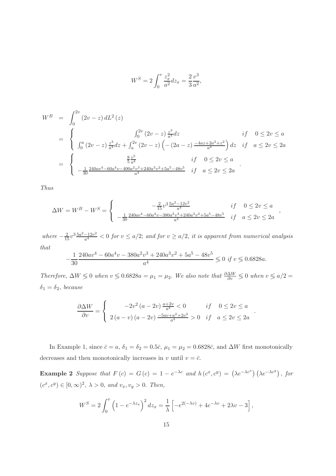$$
W^S = 2\int_0^v \frac{z_x^2}{a^2} dz_x = \frac{2}{3} \frac{v^3}{a^2},
$$

$$
W^{B} = \int_{0}^{2v} (2v - z) dL^{2}(z)
$$
  
= 
$$
\begin{cases} \int_{0}^{2v} (2v - z) \frac{z^{3}}{a^{4}} dz & \text{if } 0 \le 2v \le a \\ \int_{0}^{a} (2v - z) \frac{z^{3}}{a^{4}} dz + \int_{a}^{2v} (2v - z) \left( -(2a - z) \frac{-4az + 2a^{2} + z^{2}}{a^{4}} \right) dz & \text{if } a \le 2v \le 2a \end{cases}
$$
  
= 
$$
\begin{cases} \frac{8}{5} \frac{v^{5}}{a^{4}} & \text{if } 0 \le 2v \le a \\ -\frac{1}{30} \frac{240av^{4} - 60a^{4}v - 400a^{2}v^{3} + 240a^{3}v^{2} + 5a^{5} - 48v^{5}}{a^{4}} & \text{if } a \le 2v \le 2a \end{cases}
$$

Thus

$$
\Delta W = W^B - W^S = \begin{cases}\n\frac{-\frac{2}{15}v^3 \frac{5a^2 - 12v^2}{a^4}}{-\frac{1}{30} \frac{240av^4 - 60a^4v - 380a^2v^3 + 240a^3v^2 + 5a^5 - 48v^5}{a^4}} & if \quad a \le 2v \le 2a\n\end{cases}
$$

where  $-\frac{2}{15}v^3\frac{5a^2-12v^2}{a^4}$  $\frac{-12v^2}{a^4}$  < 0 for  $v \le a/2$ ; and for  $v \ge a/2$ , it is apparent from numerical analysis that

$$
-\frac{1}{30} \frac{240av^4 - 60a^4v - 380a^2v^3 + 240a^3v^2 + 5a^5 - 48v^5}{a^4} \le 0 \text{ if } v \le 0.6828a.
$$

Therefore,  $\Delta W \leq 0$  when  $v \leq 0.6828a = \mu_1 = \mu_2$ . We also note that  $\frac{\partial \Delta W}{\partial v} \leq 0$  when  $v \leq a/2 =$  $\delta_1 = \delta_2$ , because

$$
\frac{\partial \Delta W}{\partial v} = \begin{cases}\n-2v^2 (a - 2v) \frac{a + 2v}{a^4} < 0 & \text{if } 0 \le 2v \le a \\
2(a - v) (a - 2v) \frac{-5av + a^2 + 2v^2}{a^4} > 0 & \text{if } a \le 2v \le 2a\n\end{cases}
$$

.

In Example 1, since  $\bar{c} = a$ ,  $\delta_1 = \delta_2 = 0.5\bar{c}$ ,  $\mu_1 = \mu_2 = 0.6828\bar{c}$ , and  $\Delta W$  first monotonically decreases and then monotonically increases in v until  $v = \overline{c}$ .

**Example 2** Suppose that  $F(c) = G(c) = 1 - e^{-\lambda c}$  and  $h(c^x, c^y) = (\lambda e^{-\lambda c^x})(\lambda e^{-\lambda c^y})$ , for  $(c^x, c^y) \in [0, \infty)^2$ ,  $\lambda > 0$ , and  $v_x, v_y > 0$ . Then,

$$
W^{S} = 2 \int_{0}^{v} \left( 1 - e^{-\lambda z_{x}} \right)^{2} dz_{x} = \frac{1}{\lambda} \left[ -e^{2(-\lambda v)} + 4e^{-\lambda v} + 2\lambda v - 3 \right],
$$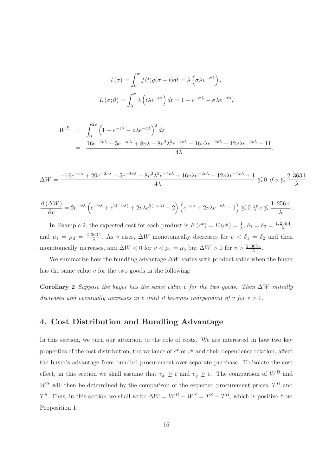$$
l(\sigma) = \int_0^{\sigma} f(t)g(\sigma - t)dt = \lambda \left(\sigma \lambda e^{-\sigma \lambda}\right),
$$

$$
L(\sigma; \theta) = \int_0^{\sigma} \lambda \left(t\lambda e^{-t\lambda}\right)dt = 1 - e^{-\sigma \lambda} - \sigma \lambda e^{-\sigma \lambda},
$$

$$
W^{B} = \int_{0}^{2v} \left(1 - e^{-z\lambda} - z\lambda e^{-z\lambda}\right)^{2} dz
$$
  
= 
$$
\frac{16e^{-2v\lambda} - 5e^{-4v\lambda} + 8v\lambda - 8v^{2}\lambda^{2}e^{-4v\lambda} + 16v\lambda e^{-2v\lambda} - 12v\lambda e^{-4v\lambda} - 11}{4\lambda}
$$

$$
\Delta W = \frac{-16e^{-v\lambda} + 20e^{-2v\lambda} - 5e^{-4v\lambda} - 8v^2\lambda^2 e^{-4v\lambda} + 16v\lambda e^{-2v\lambda} - 12v\lambda e^{-4v\lambda} + 1}{4\lambda} \le 0 \text{ if } v \le \frac{2.3631}{\lambda}
$$

.

.

$$
\frac{\partial (\Delta W)}{\partial v} = 2e^{-v\lambda} \left( e^{-v\lambda} + e^{2(-v\lambda)} + 2v\lambda e^{2(-v\lambda)} - 2 \right) \left( e^{-v\lambda} + 2v\lambda e^{-v\lambda} - 1 \right) \leq 0 \text{ if } v \leq \frac{1.2564}{\lambda}.
$$

In Example 2, the expected cost for each product is  $E(c^x) = E(c^y) = \frac{1}{\lambda}, \delta_1 = \delta_2 = \frac{1.2564}{\lambda},$ and  $\mu_1 = \mu_2 = \frac{2.3631}{\lambda}$ . As v rises,  $\Delta W$  monotonically decreases for  $v < \delta_1 = \delta_2$  and then monotonically increases, and  $\Delta W < 0$  for  $v < \mu_1 = \mu_2$  but  $\Delta W > 0$  for  $v > \frac{2.3631}{\lambda}$ .

We summarize how the bundling advantage  $\Delta W$  varies with product value when the buyer has the same value  $v$  for the two goods in the following:

Corollary 2 Suppose the buyer has the same value v for the two goods. Then  $\Delta W$  initially decreases and eventually increases in v until it becomes independent of v for  $v > \overline{c}$ .

#### 4. Cost Distribution and Bundling Advantage

In this section, we turn our attention to the role of costs. We are interested in how two key properties of the cost distribution, the variance of  $c^x$  or  $c^y$  and their dependence relation, affect the buyer's advantage from bundled procurement over separate purchase. To isolate the cost effect, in this section we shall assume that  $v_x \geq \bar{c}$  and  $v_y \geq \bar{c}$ . The comparison of  $W^B$  and  $W^S$  will then be determined by the comparison of the expected procurement prices,  $T^B$  and  $T^S$ . Thus, in this section we shall write  $\Delta W = W^B - W^S = T^S - T^B$ , which is positive from Proposition 1.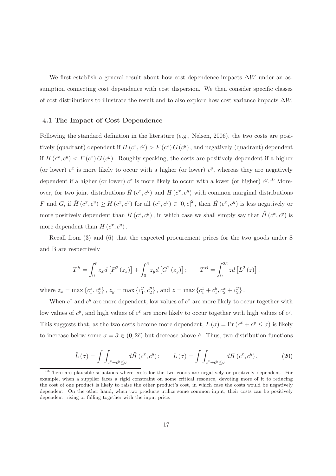We first establish a general result about how cost dependence impacts  $\Delta W$  under an assumption connecting cost dependence with cost dispersion. We then consider specific classes of cost distributions to illustrate the result and to also explore how cost variance impacts  $\Delta W$ .

#### 4.1 The Impact of Cost Dependence

Following the standard definition in the literature (e.g., Nelsen, 2006), the two costs are positively (quadrant) dependent if  $H(c^x, c^y) > F(c^x) G(c^y)$ , and negatively (quadrant) dependent if  $H(c^x, c^y) < F(c^x) G(c^y)$ . Roughly speaking, the costs are positively dependent if a higher (or lower)  $c^x$  is more likely to occur with a higher (or lower)  $c^y$ , whereas they are negatively dependent if a higher (or lower)  $c^x$  is more likely to occur with a lower (or higher)  $c^y$ .<sup>10</sup> Moreover, for two joint distributions  $\tilde{H}$  ( $c^x$ ,  $c^y$ ) and  $H$  ( $c^x$ ,  $c^y$ ) with common marginal distributions F and G, if  $\tilde{H}(c^x, c^y) \ge H(c^x, c^y)$  for all  $(c^x, c^y) \in [0, \bar{c}]^2$ , then  $\tilde{H}(c^x, c^y)$  is less negatively or more positively dependent than  $H(c^x, c^y)$ , in which case we shall simply say that  $\tilde{H}(c^x, c^y)$  is more dependent than  $H(c^x, c^y)$ .

Recall from (3) and (6) that the expected procurement prices for the two goods under S and B are respectively

$$
T^{S} = \int_0^{\bar{c}} z_x d\left[F^2(z_x)\right] + \int_0^{\bar{c}} z_y d\left[G^2(z_y)\right]; \qquad T^{B} = \int_0^{2\bar{c}} z d\left[L^2(z)\right],
$$

where  $z_x = \max\{c_1^x, c_2^x\}$ ,  $z_y = \max\{c_1^y\}$  $\frac{y}{1}, c_2^y$  ${y_2}$ , and  $z = \max\left\{c_1^x + c_1^y\right\}$  $x_1^y, c_2^x + c_2^y$  $_{2}^{y}\}$  .

When  $c^x$  and  $c^y$  are more dependent, low values of  $c^x$  are more likely to occur together with low values of  $c^y$ , and high values of  $c^x$  are more likely to occur together with high values of  $c^y$ . This suggests that, as the two costs become more dependent,  $L(\sigma) = Pr(c^x + c^y \leq \sigma)$  is likely to increase below some  $\sigma = \hat{\sigma} \in (0, 2\bar{c})$  but decrease above  $\hat{\sigma}$ . Thus, two distribution functions

$$
\tilde{L}(\sigma) = \int \int_{c^x + c^y \le \sigma} d\tilde{H}(c^x, c^y) ; \qquad L(\sigma) = \int \int_{c^x + c^y \le \sigma} dH(c^x, c^y) , \qquad (20)
$$

<sup>&</sup>lt;sup>10</sup>There are plausible situations where costs for the two goods are negatively or positively dependent. For example, when a supplier faces a rigid constraint on some critical resource, devoting more of it to reducing the cost of one product is likely to raise the other product's cost, in which case the costs would be negatively dependent. On the other hand, when two products utilize some common input, their costs can be positively dependent, rising or falling together with the input price.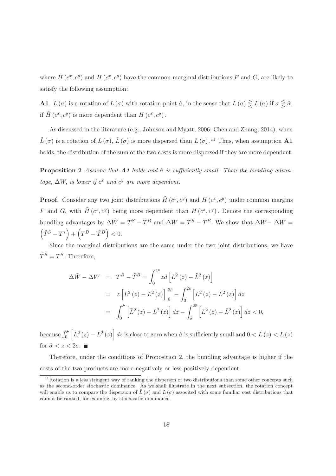where  $\tilde{H}$   $(c^x, c^y)$  and  $H$   $(c^x, c^y)$  have the common marginal distributions F and G, are likely to satisfy the following assumption:

**A1.**  $\tilde{L}(\sigma)$  is a rotation of  $L(\sigma)$  with rotation point  $\hat{\sigma}$ , in the sense that  $\tilde{L}(\sigma) \geq L(\sigma)$  if  $\sigma \leq \hat{\sigma}$ , if  $\tilde{H}$   $(c^x, c^y)$  is more dependent than  $H(c^x, c^y)$ .

As discussed in the literature (e.g., Johnson and Myatt, 2006; Chen and Zhang, 2014), when  $\tilde{L}(\sigma)$  is a rotation of  $L(\sigma)$ ,  $\tilde{L}(\sigma)$  is more dispersed than  $L(\sigma)$ .<sup>11</sup> Thus, when assumption **A1** holds, the distribution of the sum of the two costs is more dispersed if they are more dependent.

**Proposition 2** Assume that **A1** holds and  $\hat{\sigma}$  is sufficiently small. Then the bundling advantage,  $\Delta W$ , is lower if  $c^x$  and  $c^y$  are more dependent.

**Proof.** Consider any two joint distributions  $\tilde{H}$  ( $c^x$ ,  $c^y$ ) and  $H$  ( $c^x$ ,  $c^y$ ) under common margins F and G, with  $\tilde{H}(c^x, c^y)$  being more dependent than  $H(c^x, c^y)$ . Denote the corresponding bundling advantages by  $\Delta \tilde{W} = \tilde{T}^S - \tilde{T}^B$  and  $\Delta W = T^S - T^B$ . We show that  $\Delta \tilde{W} - \Delta W =$  $(\tilde{T}^{S}-T^{s})+(\overline{T}^{B}-\tilde{T}^{B})<0.$ 

Since the marginal distributions are the same under the two joint distributions, we have  $\tilde{T}^S = T^S$ . Therefore,

$$
\Delta \tilde{W} - \Delta W = T^B - \tilde{T}^B = \int_0^{2\bar{c}} z d \left[ L^2(z) - \tilde{L}^2(z) \right]
$$
  

$$
= z \left[ L^2(z) - \tilde{L}^2(z) \right]_0^{2\bar{c}} - \int_0^{2\bar{c}} \left[ L^2(z) - \tilde{L}^2(z) \right] dz
$$
  

$$
= \int_0^{\hat{\sigma}} \left[ \tilde{L}^2(z) - L^2(z) \right] dz - \int_{\hat{\sigma}}^{2\bar{c}} \left[ L^2(z) - \tilde{L}^2(z) \right] dz < 0,
$$

because  $\int_0^{\hat{\sigma}} \left[ \tilde{L}^2\left( z \right) - L^2\left( z \right) \right] dz$  is close to zero when  $\hat{\sigma}$  is sufficiently small and  $0 < \tilde{L}(z) < L(z)$ for  $\hat{\sigma} < z < 2\bar{c}$ .

Therefore, under the conditions of Proposition 2, the bundling advantage is higher if the costs of the two products are more negatively or less positively dependent.

 $11$ Rotation is a less stringent way of ranking the disperson of two distributions than some other concepts such as the second-order stochastic dominance. As we shall illustrate in the next subsection, the rotation concept will enable us to compare the dispersion of  $\tilde{L}(\sigma)$  and  $L(\sigma)$  associted with some familiar cost distributions that cannot be ranked, for example, by stochasitic dominance.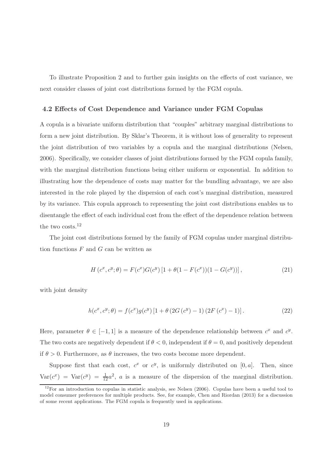To illustrate Proposition 2 and to further gain insights on the effects of cost variance, we next consider classes of joint cost distributions formed by the FGM copula.

#### 4.2 Effects of Cost Dependence and Variance under FGM Copulas

A copula is a bivariate uniform distribution that "couples" arbitrary marginal distributions to form a new joint distribution. By Sklar's Theorem, it is without loss of generality to represent the joint distribution of two variables by a copula and the marginal distributions (Nelsen, 2006). Specifically, we consider classes of joint distributions formed by the FGM copula family, with the marginal distribution functions being either uniform or exponential. In addition to illustrating how the dependence of costs may matter for the bundling advantage, we are also interested in the role played by the dispersion of each cost's marginal distribution, measured by its variance. This copula approach to representing the joint cost distributions enables us to disentangle the effect of each individual cost from the effect of the dependence relation between the two costs.<sup>12</sup>

The joint cost distributions formed by the family of FGM copulas under marginal distribution functions  $F$  and  $G$  can be written as

$$
H(c^x, c^y; \theta) = F(c^x)G(c^y)[1 + \theta(1 - F(c^x))(1 - G(c^y))],
$$
\n(21)

with joint density

$$
h(c^x, c^y; \theta) = f(c^x)g(c^y) \left[1 + \theta \left(2G(c^y) - 1\right) \left(2F(c^x) - 1\right)\right].\tag{22}
$$

Here, parameter  $\theta \in [-1, 1]$  is a measure of the dependence relationship between  $c^x$  and  $c^y$ . The two costs are negatively dependent if  $\theta < 0$ , independent if  $\theta = 0$ , and positively dependent if  $\theta > 0$ . Furthermore, as  $\theta$  increases, the two costs become more dependent.

Suppose first that each cost,  $c^x$  or  $c^y$ , is uniformly distributed on [0, a]. Then, since  $Var(c^x) = Var(c^y) = \frac{1}{12}a^2$ , a is a measure of the dispersion of the marginal distribution.

 $12$ For an introduction to copulas in statistic analysis, see Nelsen (2006). Copulas have been a useful tool to model consumer preferences for multiple products. See, for example, Chen and Riordan (2013) for a discussion of some recent applications. The FGM copula is frequently used in applications.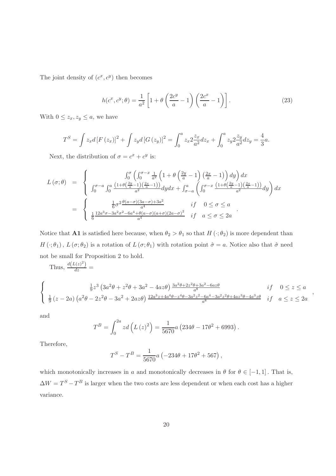The joint density of  $(c^x, c^y)$  then becomes

$$
h(c^x, c^y; \theta) = \frac{1}{a^2} \left[ 1 + \theta \left( \frac{2c^y}{a} - 1 \right) \left( \frac{2c^x}{a} - 1 \right) \right].
$$
 (23)

With  $0 \leq z_x, z_y \leq a$ , we have

$$
T^{S} = \int z_{x} d\left[F\left(z_{x}\right)\right]^{2} + \int z_{y} d\left[G\left(z_{y}\right)\right]^{2} = \int_{0}^{a} z_{x} 2 \frac{z_{x}}{a^{2}} dz_{x} + \int_{0}^{a} z_{y} 2 \frac{z_{y}}{a^{2}} dz_{y} = \frac{4}{3} a.
$$

Next, the distribution of  $\sigma = c^x + c^y$  is:

$$
L(\sigma;\theta) = \begin{cases} \int_0^{\sigma} \left( \int_0^{\sigma-x} \frac{1}{a^2} \left( 1 + \theta \left( \frac{2y}{a} - 1 \right) \left( \frac{2x}{a} - 1 \right) \right) dy \right) dx \\ \int_0^{\sigma-a} \int_0^a \frac{\left( 1 + \theta \left( \frac{2y}{a} - 1 \right) \left( \frac{2x}{a} - 1 \right) \right)}{a^2} dy dx + \int_{\sigma-a}^a \left( \int_0^{\sigma-x} \frac{\left( 1 + \theta \left( \frac{2y}{a} - 1 \right) \left( \frac{2x}{a} - 1 \right) \right)}{a^2} dy \right) dx \\ = \begin{cases} \frac{1}{6} \sigma^2 \frac{\theta(a - \sigma)(3a - \sigma) + 3a^2}{a^4} & \text{if } 0 \le \sigma \le a \\ \frac{1}{6} \frac{12a^3 \sigma - 3a^2 \sigma^2 - 6a^4 + \theta(a - \sigma)(a + \sigma)(2a - \sigma)^2}{a^4} & \text{if } a \le \sigma \le 2a \end{cases} \end{cases}
$$

Notice that **A1** is satisfied here because, when  $\theta_2 > \theta_1$  so that  $H(\cdot; \theta_2)$  is more dependent than  $H(\cdot;\theta_1), L(\sigma;\theta_2)$  is a rotation of  $L(\sigma;\theta_1)$  with rotation point  $\hat{\sigma} = a$ . Notice also that  $\hat{\sigma}$  need not be small for Proposition 2 to hold.

Thus,  $\frac{d(L(z)^2)}{dz}$  =

$$
\begin{cases}\n\frac{1}{9}z^3 \left(3a^2\theta + z^2\theta + 3a^2 - 4az\theta\right) \frac{3a^2\theta + 2z^2\theta + 3a^2 - 6az\theta}{a^8} & \text{if } 0 \le z \le a \\
\frac{1}{9}(z - 2a) \left(a^2\theta - 2z^2\theta - 3a^2 + 2az\theta\right) \frac{12a^3z + 4a^4\theta - z^4\theta - 3a^2z^2 - 6a^4 - 3a^2z^2\theta + 4az^3\theta - 4a^3z\theta}{a^8} & \text{if } a \le z \le 2a\n\end{cases}
$$

,

and

$$
T^{B} = \int_{0}^{2a} z d\left(L(z)^{2}\right) = \frac{1}{5670} a \left(234\theta - 17\theta^{2} + 6993\right).
$$

Therefore,

$$
T^{S} - T^{B} = \frac{1}{5670}a\left(-234\theta + 17\theta^{2} + 567\right),
$$

which monotonically increases in a and monotonically decreases in  $\theta$  for  $\theta \in [-1, 1]$ . That is,  $\Delta W = T^{S} - T^{B}$  is larger when the two costs are less dependent or when each cost has a higher variance.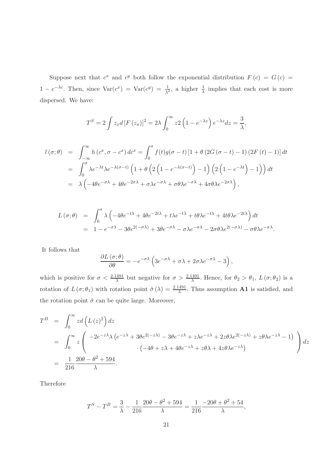Suppose next that  $c^x$  and  $c^y$  both follow the exponential distribution  $F(c) = G(c)$  $1 - e^{-\lambda c}$ . Then, since  $\text{Var}(c^x) = \text{Var}(c^y) = \frac{1}{\lambda^2}$ , a higher  $\frac{1}{\lambda}$  implies that each cost is more dispersed. We have:

$$
T^{S} = 2 \int z_{x} d \left[ F\left( z_{x} \right) \right]^{2} = 2 \lambda \int_{0}^{\infty} z 2 \left( 1 - e^{-\lambda z} \right) e^{-\lambda z} dz = \frac{3}{\lambda},
$$

$$
l(\sigma;\theta) = \int_{-\infty}^{\infty} h(c^x, \sigma - c^x) d c^x = \int_0^{\sigma} f(t)g(\sigma - t) [1 + \theta (2G(\sigma - t) - 1) (2F(t) - 1)] dt
$$
  
= 
$$
\int_0^{\sigma} \lambda e^{-\lambda t} \lambda e^{-\lambda(\sigma - t)} \left( 1 + \theta \left( 2\left( 1 - e^{-\lambda(\sigma - t)} \right) - 1 \right) \left( 2\left( 1 - e^{-\lambda t} \right) - 1 \right) \right) dt
$$
  
= 
$$
\lambda \left( -4\theta e^{-\sigma \lambda} + 4\theta e^{-2\sigma \lambda} + \sigma \lambda e^{-\sigma \lambda} + \sigma \theta \lambda e^{-\sigma \lambda} + 4\sigma \theta \lambda e^{-2\sigma \lambda} \right),
$$

$$
L(\sigma;\theta) = \int_0^{\sigma} \lambda \left( -4\theta e^{-t\lambda} + 4\theta e^{-2t\lambda} + t\lambda e^{-t\lambda} + t\theta \lambda e^{-t\lambda} + 4t\theta \lambda e^{-2t\lambda} \right) dt
$$
  
=  $1 - e^{-\sigma\lambda} - 3\theta e^{2(-\sigma\lambda)} + 3\theta e^{-\sigma\lambda} - \sigma \lambda e^{-\sigma\lambda} - 2\sigma \theta \lambda e^{2(-\sigma\lambda)} - \sigma \theta \lambda e^{-\sigma\lambda}.$ 

It follows that

$$
\frac{\partial L(\sigma;\theta)}{\partial \theta} = -e^{-\sigma\lambda} \left( 3e^{-\sigma\lambda} + \sigma\lambda + 2\sigma\lambda e^{-\sigma\lambda} - 3 \right),
$$

which is positive for  $\sigma < \frac{2.1491}{\lambda}$  but negative for  $\sigma > \frac{2.1491}{\lambda}$ . Hence, for  $\theta_2 > \theta_1$ ,  $L(\sigma;\theta_2)$  is a rotation of  $L(\sigma;\theta_1)$  with rotation point  $\hat{\sigma}(\lambda) = \frac{2.1491}{\lambda}$ . Thus assumption **A1** is satisfied, and the rotation point  $\hat{\sigma}$  can be quite large. Moreover,

$$
T^{B} = \int_{0}^{\infty} z d\left(L(z)^{2}\right) dz
$$
  
= 
$$
\int_{0}^{\infty} z \left( \frac{-2e^{-z\lambda} \lambda (e^{-z\lambda} + 3\theta e^{2(-z\lambda)} - 3\theta e^{-z\lambda} + z\lambda e^{-z\lambda} + 2z\theta \lambda e^{2(-z\lambda)} + z\theta \lambda e^{-z\lambda} - 1)}{(-4\theta + z\lambda + 4\theta e^{-z\lambda} + z\theta \lambda + 4z\theta \lambda e^{-z\lambda})} \right) dz
$$
  
= 
$$
\frac{1}{216} \frac{20\theta - \theta^{2} + 594}{\lambda}.
$$

Therefore

$$
T^{S} - T^{B} = \frac{3}{\lambda} - \frac{1}{216} \frac{20\theta - \theta^{2} + 594}{\lambda} = \frac{1}{216} \frac{-20\theta + \theta^{2} + 54}{\lambda},
$$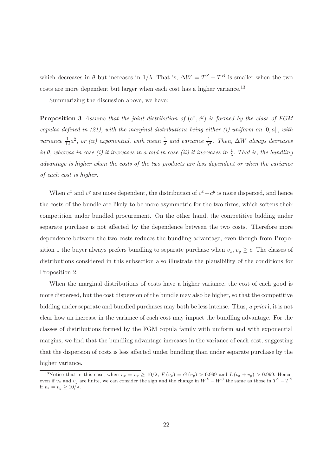which decreases in  $\theta$  but increases in  $1/\lambda$ . That is,  $\Delta W = T^{S} - T^{B}$  is smaller when the two costs are more dependent but larger when each cost has a higher variance.<sup>13</sup>

Summarizing the discussion above, we have:

**Proposition 3** Assume that the joint distribution of  $(c^x, c^y)$  is formed by the class of FGM copulas defined in  $(21)$ , with the marginal distributions being either  $(i)$  uniform on  $[0, a]$ , with variance  $\frac{1}{12}a^2$ , or (ii) exponential, with mean  $\frac{1}{\lambda}$  and variance  $\frac{1}{\lambda^2}$ . Then,  $\Delta W$  always decreases in  $\theta$ , whereas in case (i) it increases in a and in case (ii) it increases in  $\frac{1}{\lambda}$ . That is, the bundling advantage is higher when the costs of the two products are less dependent or when the variance of each cost is higher.

When  $c^x$  and  $c^y$  are more dependent, the distribution of  $c^x + c^y$  is more dispersed, and hence the costs of the bundle are likely to be more asymmetric for the two firms, which softens their competition under bundled procurement. On the other hand, the competitive bidding under separate purchase is not affected by the dependence between the two costs. Therefore more dependence between the two costs reduces the bundling advantage, even though from Proposition 1 the buyer always prefers bundling to separate purchase when  $v_x, v_y \geq \bar{c}$ . The classes of distributions considered in this subsection also illustrate the plausibility of the conditions for Proposition 2.

When the marginal distributions of costs have a higher variance, the cost of each good is more dispersed, but the cost dispersion of the bundle may also be higher, so that the competitive bidding under separate and bundled purchases may both be less intense. Thus, a priori, it is not clear how an increase in the variance of each cost may impact the bundling advantage. For the classes of distributions formed by the FGM copula family with uniform and with exponential margins, we find that the bundling advantage increases in the variance of each cost, suggesting that the dispersion of costs is less affected under bundling than under separate purchase by the higher variance.

<sup>&</sup>lt;sup>13</sup>Notice that in this case, when  $v_x = v_y \ge 10/\lambda$ ,  $F(v_x) = G(v_y) > 0.999$  and  $L(v_x + v_y) > 0.999$ . Hence, even if  $v_x$  and  $v_y$  are finite, we can consider the sign and the change in  $W^B - W^S$  the same as those in  $T^S - T^B$ if  $v_x = v_y \geq 10/\lambda$ .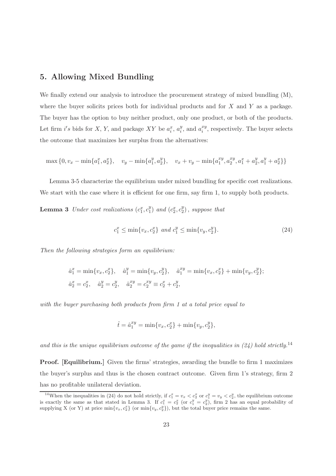## 5. Allowing Mixed Bundling

We finally extend our analysis to introduce the procurement strategy of mixed bundling  $(M)$ , where the buyer solicits prices both for individual products and for  $X$  and  $Y$  as a package. The buyer has the option to buy neither product, only one product, or both of the products. Let firm  $i's$  bids for X, Y, and package XY be  $a_i^x$ ,  $a_i^y$  $_i^y$ , and  $a_i^{xy}$  $i^{xy}$ , respectively. The buyer selects the outcome that maximizes her surplus from the alternatives:

$$
\max\{0, v_x - \min\{a_1^x, a_2^x\}, v_y - \min\{a_1^y, a_2^y\}, v_x + v_y - \min\{a_1^{xy}, a_2^{xy}, a_1^x + a_2^y, a_1^y + a_2^x\}\}\
$$

Lemma 3-5 characterize the equilibrium under mixed bundling for specific cost realizations. We start with the case where it is efficient for one firm, say firm 1, to supply both products.

**Lemma 3** Under cost realizations  $(c_1^x, c_1^y)$  $_1^y$ ) and  $(c_2^x, c_2^y)$  $_{2}^{y}$ ), suppose that

$$
c_1^x \le \min\{v_x, c_2^x\} \ and \ c_1^y \le \min\{v_y, c_2^y\}.\tag{24}
$$

Then the following strategies form an equilibrium:

$$
\hat{a}_1^x = \min\{v_x, c_2^x\}, \quad \hat{a}_1^y = \min\{v_y, c_2^y\}, \quad \hat{a}_1^{xy} = \min\{v_x, c_2^x\} + \min\{v_y, c_2^y\};
$$
  

$$
\hat{a}_2^x = c_2^x, \quad \hat{a}_2^y = c_2^y, \quad \hat{a}_2^{xy} = c_2^x + c_2^y,
$$

with the buyer purchasing both products from firm 1 at a total price equal to

$$
\hat{t} = \hat{a}_1^{xy} = \min\{v_x, c_2^x\} + \min\{v_y, c_2^y\},\
$$

and this is the unique equilibrium outcome of the game if the inequalities in  $(24)$  hold strictly.<sup>14</sup>

Proof. [Equilibrium.] Given the firms' strategies, awarding the bundle to firm 1 maximizes the buyer's surplus and thus is the chosen contract outcome. Given firm 1's strategy, firm 2 has no profitable unilateral deviation.

<sup>&</sup>lt;sup>14</sup>When the inequalities in (24) do not hold strictly, if  $c_1^x = v_x < c_2^x$  or  $c_1^y = v_y < c_2^y$ , the equilibrium outcome is exactly the same as that stated in Lemma 3. If  $c_1^x = c_2^x$  (or  $c_1^y = c_2^y$ ), firm 2 has an equal probability of supplying X (or Y) at price  $\min\{v_x, c_2^x\}$  (or  $\min\{v_y, c_2^y\}$ ), but the total buyer price remains the same.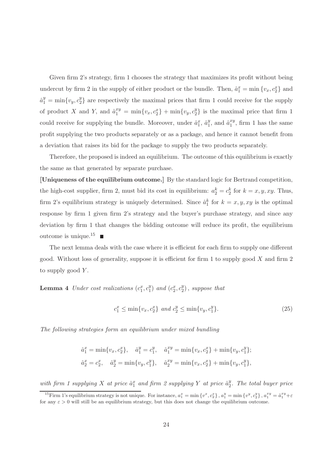Given firm 2's strategy, firm 1 chooses the strategy that maximizes its profit without being undercut by firm 2 in the supply of either product or the bundle. Then,  $\hat{a}_1^x = \min \{v_x, c_2^x\}$  and  $\hat{a}_{1}^{y} = \min\{v_{y}, c_{2}^{y}\}$  $_{2}^{\mathcal{Y}}$  are respectively the maximal prices that firm 1 could receive for the supply of product X and Y, and  $\hat{a}_1^{xy} = \min\{v_x, c_2^{x}\} + \min\{v_y, c_2^{y}\}$ 2 } is the maximal price that firm 1 could receive for supplying the bundle. Moreover, under  $\hat{a}_1^x$ ,  $\hat{a}_1^y$  $y_1^y$ , and  $\hat{a}_1^{xy}$  $_1^{xy}$ , firm 1 has the same profit supplying the two products separately or as a package, and hence it cannot benefit from a deviation that raises its bid for the package to supply the two products separately.

Therefore, the proposed is indeed an equilibrium. The outcome of this equilibrium is exactly the same as that generated by separate purchase.

[Uniqueness of the equilibrium outcome.] By the standard logic for Bertrand competition, the high-cost supplier, firm 2, must bid its cost in equilibrium:  $a_2^k = c_2^k$  for  $k = x, y, xy$ . Thus, firm 2's equilibrium strategy is uniquely determined. Since  $\hat{a}_1^k$  for  $k = x, y, xy$  is the optimal response by firm 1 given firm 2's strategy and the buyer's purchase strategy, and since any deviation by firm 1 that changes the bidding outcome will reduce its profit, the equilibrium outcome is unique.<sup>15</sup>

The next lemma deals with the case where it is efficient for each firm to supply one different good. Without loss of generality, suppose it is efficient for firm 1 to supply good  $X$  and firm 2 to supply good  $Y$ .

**Lemma 4** Under cost realizations  $(c_1^x, c_1^y)$  $_1^y$ ) and  $(c_2^x, c_2^y)$  $_{2}^{y}$ ), suppose that

$$
c_1^x \le \min\{v_x, c_2^x\} \ and \ c_2^y \le \min\{v_y, c_1^y\}.\tag{25}
$$

The following strategies form an equilibrium under mixed bundling

$$
\hat{a}_1^x = \min\{v_x, c_2^x\}, \quad \hat{a}_1^y = c_1^y, \quad \hat{a}_1^{xy} = \min\{v_x, c_2^x\} + \min\{v_y, c_1^y\};
$$
  

$$
\hat{a}_2^x = c_2^x, \quad \hat{a}_2^y = \min\{v_y, c_1^y\}, \quad \hat{a}_2^{xy} = \min\{v_x, c_2^x\} + \min\{v_y, c_1^y\},
$$

with firm 1 supplying X at price  $\hat{a}_1^x$  and firm 2 supplying Y at price  $\hat{a}_2^y$  $\frac{y}{2}$ . The total buyer price

<sup>&</sup>lt;sup>15</sup>Firm 1's equilibrium strategy is not unique. For instance,  $a_1^x = \min \{v^x, c_2^x\}$ ,  $a_1^y = \min \{v^y, c_2^y\}$ ,  $a_1^{xy} = \hat{a}_1^{xy} + \varepsilon$ for any  $\varepsilon > 0$  will still be an equilibrium strategy, but this does not change the equilibrium outcome.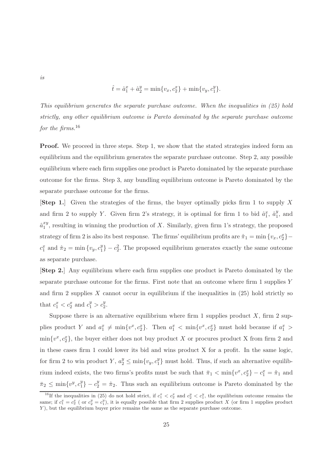$$
\hat{t} = \hat{a}_1^x + \hat{a}_2^y = \min\{v_x, c_2^x\} + \min\{v_y, c_1^y\}.
$$

This equilibrium generates the separate purchase outcome. When the inequalities in (25) hold strictly, any other equilibrium outcome is Pareto dominated by the separate purchase outcome for the firms. $16$ 

**Proof.** We proceed in three steps. Step 1, we show that the stated strategies indeed form an equilibrium and the equilibrium generates the separate purchase outcome. Step 2, any possible equilibrium where each firm supplies one product is Pareto dominated by the separate purchase outcome for the firms. Step 3, any bundling equilibrium outcome is Pareto dominated by the separate purchase outcome for the firms.

[Step 1.] Given the strategies of the firms, the buyer optimally picks firm 1 to supply X and firm 2 to supply Y. Given firm 2's strategy, it is optimal for firm 1 to bid  $\hat{a}_1^x$ ,  $\hat{a}_1^y$  $\frac{y}{1}$ , and  $\hat{a}_1^{xy}$  $_{1}^{xy}$ , resulting in winning the production of X. Similarly, given firm 1's strategy, the proposed strategy of firm 2 is also its best response. The firms' equilibrium profits are  $\hat{\pi}_1 = \min \{v_x, c_2^x\}$  $c_1^x$  and  $\hat{\pi}_2 = \min \{ v_y, c_1^y \}$  $_1^y$  $- c_2^2$ . The proposed equilibrium generates exactly the same outcome as separate purchase.

[Step 2.] Any equilibrium where each firm supplies one product is Pareto dominated by the separate purchase outcome for the firms. First note that an outcome where firm 1 supplies  $Y$ and firm 2 supplies  $X$  cannot occur in equilibrium if the inequalities in  $(25)$  hold strictly so that  $c_1^x < c_2^x$  and  $c_1^y > c_2^y$ .

Suppose there is an alternative equilibrium where firm 1 supplies product  $X$ , firm 2 supplies product Y and  $a_1^x \neq \min\{v^x, c_2^x\}$ . Then  $a_1^x < \min\{v^x, c_2^x\}$  must hold because if  $a_1^x >$  $\min\{v^x, c_2^x\}$ , the buyer either does not buy product X or procures product X from firm 2 and in these cases firm 1 could lower its bid and wins product X for a profit. In the same logic, for firm 2 to win product  $Y, a_2^y \le \min\{v_y, c_1^y\}$  $_{1}^{y}$  must hold. Thus, if such an alternative equilibrium indeed exists, the two firms's profits must be such that  $\bar{\pi}_1 < \min\{v^x, c_2^x\} - c_1^x = \hat{\pi}_1$  and  $\bar{\pi}_2 \leq \min\{v^y, c_1^y\}$  $\binom{y}{1} - c_2^y = \hat{\pi}_2$ . Thus such an equilibrium outcome is Pareto dominated by the

is

<sup>&</sup>lt;sup>16</sup>If the inequalities in (25) do not hold strict, if  $c_1^x < c_2^x$  and  $c_2^y < c_1^y$ , the equilibrium outcome remains the same; if  $c_1^x = c_2^x$  (or  $c_2^y = c_1^y$ ), it is equally possible that firm 2 supplies product X (or firm 1 supplies product Y ), but the equilibrium buyer price remains the same as the separate purchase outcome.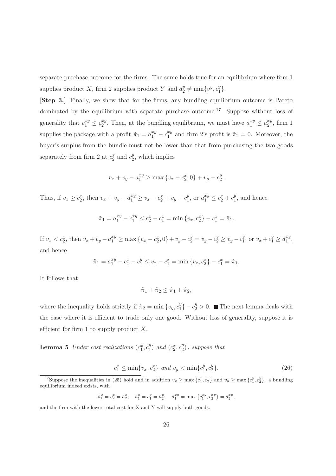separate purchase outcome for the firms. The same holds true for an equilibrium where firm 1 supplies product X, firm 2 supplies product Y and  $a_2^y$  $y_2^y \neq \min\{v^y, c_1^y\}$  $_{1}^{y}$ .

[Step 3.] Finally, we show that for the firms, any bundling equilibrium outcome is Pareto dominated by the equilibrium with separate purchase outcome.<sup>17</sup> Suppose without loss of generality that  $c_1^{xy} \leq c_2^{xy}$  $x_2^{xy}$ . Then, at the bundling equilibrium, we must have  $a_1^{xy} \le a_2^{xy}$  $x_y^{xy}$ , firm 1 supplies the package with a profit  $\tilde{\pi}_1 = a_1^{xy} - c_1^{xy}$  $i_1^{xy}$  and firm 2's profit is  $\tilde{\pi}_2 = 0$ . Moreover, the buyer's surplus from the bundle must not be lower than that from purchasing the two goods separately from firm 2 at  $c_2^x$  and  $c_2^y$  $2^y$ , which implies

$$
v_x + v_y - a_1^{xy} \ge \max\{v_x - c_2^x, 0\} + v_y - c_2^y.
$$

Thus, if  $v_x \ge c_2^x$ , then  $v_x + v_y - a_1^{xy} \ge v_x - c_2^x + v_y - c_1^y$  $y_1^y$ , or  $a_1^{xy} \le c_2^x + c_1^y$  $\frac{y}{1}$ , and hence

$$
\tilde{\pi}_1 = a_1^{xy} - c_1^{xy} \le c_2^x - c_1^x = \min\{v_x, c_2^x\} - c_1^x = \hat{\pi}_1.
$$

If  $v_x < c_2^x$ , then  $v_x + v_y - a_1^{xy} \ge \max\{v_x - c_2^x, 0\} + v_y - c_2^y = v_y - c_2^y \ge v_y - c_1^y$  $y_1^y$ , or  $v_x + c_1^y \ge a_1^{xy}$  $\begin{array}{c} xy, \\ 1, \end{array}$ and hence

$$
\tilde{\pi}_1 = a_1^{xy} - c_1^x - c_1^y \le v_x - c_1^x = \min\{v_x, c_2^x\} - c_1^x = \hat{\pi}_1.
$$

It follows that

$$
\tilde{\pi}_1 + \tilde{\pi}_2 \le \hat{\pi}_1 + \hat{\pi}_2,
$$

where the inequality holds strictly if  $\hat{\pi}_2 = \min \{v_y, c_1^y\}$  $\binom{y}{1}$  −  $c_2^y$  > 0. ■ The next lemma deals with the case where it is efficient to trade only one good. Without loss of generality, suppose it is efficient for firm 1 to supply product  $X$ .

**Lemma 5** Under cost realizations  $(c_1^x, c_1^y)$  $_1^y$ ) and  $(c_2^x, c_2^y)$  $_{2}^{y}$ ), suppose that

$$
c_1^x \le \min\{v_x, c_2^x\} \ and \ v_y < \min\{c_1^y, c_2^y\}.\tag{26}
$$

$$
\tilde{a}_1^x = c_2^x = \tilde{a}_2^x;
$$
  $\tilde{a}_1^y = c_1^y = \tilde{a}_2^y;$   $\tilde{a}_1^{xy} = \max\{c_1^{xy}, c_2^{xy}\} = \tilde{a}_2^{xy},$ 

and the firm with the lower total cost for X and Y will supply both goods.

<sup>&</sup>lt;sup>17</sup>Suppose the inequalities in (25) hold and in addition  $v_x \ge \max\{c_1^x, c_2^x\}$  and  $v_y \ge \max\{c_1^y, c_2^y\}$ , a bundling equilibrium indeed exists, with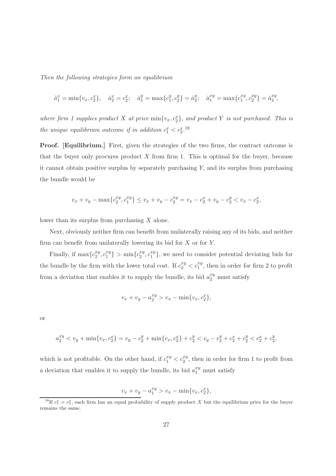Then the following strategies form an equilibrium

$$
\hat{a}_1^x = \min\{v_x, c_2^x\}, \quad \hat{a}_2^x = c_2^x; \quad \hat{a}_1^y = \max\{c_1^y, c_2^y\} = \hat{a}_2^y; \quad \hat{a}_1^{xy} = \max\{c_1^{xy}, c_2^{xy}\} = \hat{a}_2^{xy},
$$

where firm 1 supplies product X at price  $\min\{v_x, c_2^x\}$ , and product Y is not purchased. This is the unique equilibrium outcome if in addition  $c_1^x < c_2^x$ .<sup>18</sup>

Proof. [Equilibrium.] First, given the strategies of the two firms, the contract outcome is that the buyer only procures product  $X$  from firm 1. This is optimal for the buyer, because it cannot obtain positive surplus by separately purchasing  $Y$ , and its surplus from purchasing the bundle would be

$$
v_x + v_y - \max\{c_2^{xy}, c_1^{xy}\} \le v_x + v_y - c_2^{xy} = v_x - c_2^{x} + v_y - c_2^{y} < v_x - c_2^{x},
$$

lower than its surplus from purchasing  $X$  alone.

Next, obviously neither firm can benefit from unilaterally raising any of its bids, and neither firm can benefit from unilaterally lowering its bid for  $X$  or for  $Y$ .

Finally, if  $\max\{c_2^{xy}$  $x_y^{xy}, c_1^{xy}$  $\{a_1^{xy}\} > \min\{c_2^{xy}\}$  $x_y^{xy}, c_1^{xy}$  $\{x_i^y\}$ , we need to consider potential deviating bids for the bundle by the firm with the lower total cost. If  $c_2^{xy} < c_1^{xy}$ , then in order for firm 2 to profit from a deviation that enables it to supply the bundle, its bid  $a_2^{xy}$  must satisfy

$$
v_x + v_y - a_2^{xy} > v_x - \min\{v_x, c_2^x\},\
$$

or

$$
a_2^{xy} < v_y + \min\{v_x, c_2^x\} = v_y - c_2^y + \min\{v_x, c_2^x\} + c_2^y < v_y - c_2^y + c_2^x + c_2^y < c_2^x + c_2^y,
$$

which is not profitable. On the other hand, if  $c_1^{xy} < c_2^{xy}$ , then in order for firm 1 to profit from a deviation that enables it to supply the bundle, its bid  $a_1^{xy}$  must satisfy

$$
v_x + v_y - a_1^{xy} > v_x - \min\{v_x, c_2^x\},\
$$

<sup>&</sup>lt;sup>18</sup>If  $c_1^x = c_2^x$ , each firm has an equal probability of supply product X but the equilibrium price for the buyer remains the same.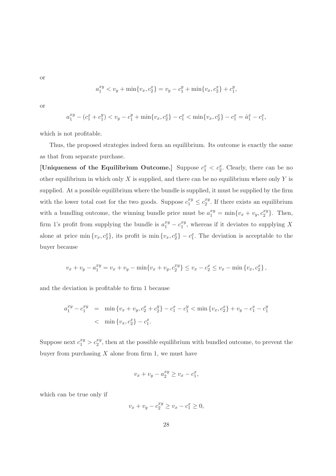or

$$
a_1^{xy} < v_y + \min\{v_x, c_2^x\} = v_y - c_1^y + \min\{v_x, c_2^x\} + c_1^y,
$$

or

$$
a_1^{xy} - (c_1^x + c_1^y) < v_y - c_1^y + \min\{v_x, c_2^x\} - c_1^x < \min\{v_x, c_2^x\} - c_1^x = \hat{a}_1^x - c_1^x,
$$

which is not profitable.

Thus, the proposed strategies indeed form an equilibrium. Its outcome is exactly the same as that from separate purchase.

[Uniqueness of the Equilibrium Outcome.] Suppose  $c_1^x < c_2^x$ . Clearly, there can be no other equilibrium in which only  $X$  is supplied, and there can be no equilibrium where only  $Y$  is supplied. At a possible equilibrium where the bundle is supplied, it must be supplied by the firm with the lower total cost for the two goods. Suppose  $c_1^{xy} \leq c_2^{xy}$  $x_2^{xy}$ . If there exists an equilibrium with a bundling outcome, the winning bundle price must be  $a_1^{xy} = \min\{v_x + v_y, c_2^{xy}\}$  $\{x^y\}$ . Then, firm 1's profit from supplying the bundle is  $a_1^{xy} - c_1^{xy}$  $_{1}^{xy}$ , whereas if it deviates to supplying X alone at price min  $\{v_x, c_2^x\}$ , its profit is min  $\{v_x, c_2^x\} - c_1^x$ . The deviation is acceptable to the buyer because

$$
v_x + v_y - a_1^{xy} = v_x + v_y - \min\{v_x + v_y, c_2^{xy}\} \le v_x - c_2^{x} \le v_x - \min\{v_x, c_2^{x}\},\
$$

and the deviation is profitable to firm 1 because

$$
a_1^{xy} - c_1^{xy} = \min \{v_x + v_y, c_2^x + c_2^y\} - c_1^x - c_1^y < \min \{v_x, c_2^x\} + v_y - c_1^x - c_1^y
$$
  

$$
< \min \{v_x, c_2^x\} - c_1^x.
$$

Suppose next  $c_1^{xy} > c_2^{xy}$ , then at the possible equilibrium with bundled outcome, to prevent the buyer from purchasing  $X$  alone from firm 1, we must have

$$
v_x + v_y - a_2^{xy} \ge v_x - c_1^x,
$$

which can be true only if

$$
v_x + v_y - c_2^{xy} \ge v_x - c_1^x \ge 0,
$$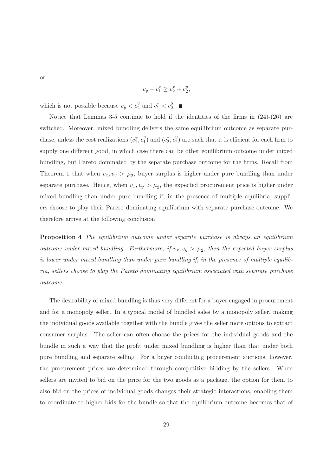$$
v_y + c_1^x \ge c_2^x + c_2^y,
$$

which is not possible because  $v_y < c_2^y$  and  $c_1^x < c_2^2$ .

Notice that Lemmas 3-5 continue to hold if the identities of the firms in  $(24)-(26)$  are switched. Moreover, mixed bundling delivers the same equilibrium outcome as separate purchase, unless the cost realizations  $(c_1^x, c_1^y)$  $\binom{y}{1}$  and  $(c_2^x, c_2^y)$  $2<sup>y</sup>$  are such that it is efficient for each firm to supply one different good, in which case there can be other equilibrium outcome under mixed bundling, but Pareto dominated by the separate purchase outcome for the firms. Recall from Theorem 1 that when  $v_x, v_y > \mu_2$ , buyer surplus is higher under pure bundling than under separate purchase. Hence, when  $v_x, v_y > \mu_2$ , the expected procurement price is higher under mixed bundling than under pure bundling if, in the presence of multiple equilibria, suppliers choose to play their Pareto dominating equilibrium with separate purchase outcome. We therefore arrive at the following conclusion.

**Proposition 4** The equilibrium outcome under separate purchase is always an equilibrium outcome under mixed bundling. Furthermore, if  $v_x, v_y > \mu_2$ , then the expected buyer surplus is lower under mixed bundling than under pure bundling if, in the presence of multiple equilibria, sellers choose to play the Pareto dominating equilibrium associated with separate purchase outcome.

The desirability of mixed bundling is thus very different for a buyer engaged in procurement and for a monopoly seller. In a typical model of bundled sales by a monopoly seller, making the individual goods available together with the bundle gives the seller more options to extract consumer surplus. The seller can often choose the prices for the individual goods and the bundle in such a way that the profit under mixed bundling is higher than that under both pure bundling and separate selling. For a buyer conducting procurement auctions, however, the procurement prices are determined through competitive bidding by the sellers. When sellers are invited to bid on the price for the two goods as a package, the option for them to also bid on the prices of individual goods changes their strategic interactions, enabling them to coordinate to higher bids for the bundle so that the equilibrium outcome becomes that of

or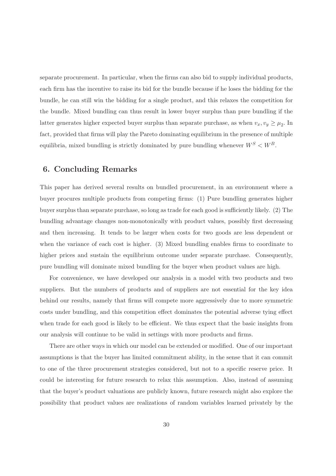separate procurement. In particular, when the firms can also bid to supply individual products, each firm has the incentive to raise its bid for the bundle because if he loses the bidding for the bundle, he can still win the bidding for a single product, and this relaxes the competition for the bundle. Mixed bundling can thus result in lower buyer surplus than pure bundling if the latter generates higher expected buyer surplus than separate purchase, as when  $v_x, v_y \ge \mu_2$ . In fact, provided that firms will play the Pareto dominating equilibrium in the presence of multiple equilibria, mixed bundling is strictly dominated by pure bundling whenever  $W^S < W^B$ .

#### 6. Concluding Remarks

This paper has derived several results on bundled procurement, in an environment where a buyer procures multiple products from competing firms: (1) Pure bundling generates higher buyer surplus than separate purchase, so long as trade for each good is sufficiently likely. (2) The bundling advantage changes non-monotonically with product values, possibly first decreasing and then increasing. It tends to be larger when costs for two goods are less dependent or when the variance of each cost is higher. (3) Mixed bundling enables firms to coordinate to higher prices and sustain the equilibrium outcome under separate purchase. Consequently, pure bundling will dominate mixed bundling for the buyer when product values are high.

For convenience, we have developed our analysis in a model with two products and two suppliers. But the numbers of products and of suppliers are not essential for the key idea behind our results, namely that firms will compete more aggressively due to more symmetric costs under bundling, and this competition effect dominates the potential adverse tying effect when trade for each good is likely to be efficient. We thus expect that the basic insights from our analysis will continue to be valid in settings with more products and firms.

There are other ways in which our model can be extended or modified. One of our important assumptions is that the buyer has limited commitment ability, in the sense that it can commit to one of the three procurement strategies considered, but not to a specific reserve price. It could be interesting for future research to relax this assumption. Also, instead of assuming that the buyer's product valuations are publicly known, future research might also explore the possibility that product values are realizations of random variables learned privately by the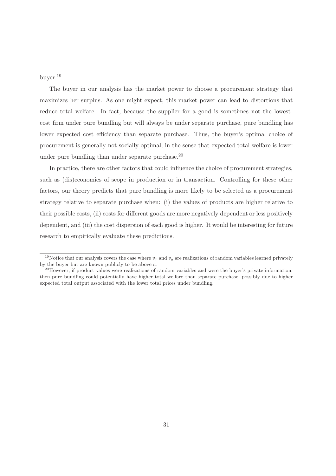buyer.<sup>19</sup>

The buyer in our analysis has the market power to choose a procurement strategy that maximizes her surplus. As one might expect, this market power can lead to distortions that reduce total welfare. In fact, because the supplier for a good is sometimes not the lowestcost firm under pure bundling but will always be under separate purchase, pure bundling has lower expected cost efficiency than separate purchase. Thus, the buyer's optimal choice of procurement is generally not socially optimal, in the sense that expected total welfare is lower under pure bundling than under separate purchase. $^{20}$ 

In practice, there are other factors that could influence the choice of procurement strategies, such as (dis)economies of scope in production or in transaction. Controlling for these other factors, our theory predicts that pure bundling is more likely to be selected as a procurement strategy relative to separate purchase when: (i) the values of products are higher relative to their possible costs, (ii) costs for different goods are more negatively dependent or less positively dependent, and (iii) the cost dispersion of each good is higher. It would be interesting for future research to empirically evaluate these predictions.

<sup>&</sup>lt;sup>19</sup>Notice that our analysis covers the case where  $v_x$  and  $v_y$  are realizations of random variables learned privately by the buyer but are known publicly to be above  $\bar{c}$ .

<sup>&</sup>lt;sup>20</sup>However, if product values were realizations of random variables and were the buyer's private information, then pure bundling could potentially have higher total welfare than separate purchase, possibly due to higher expected total output associated with the lower total prices under bundling.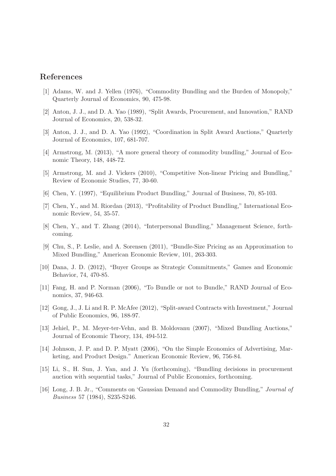#### References

- [1] Adams, W. and J. Yellen (1976), "Commodity Bundling and the Burden of Monopoly," Quarterly Journal of Economics, 90, 475-98.
- [2] Anton, J. J., and D. A. Yao (1989), "Split Awards, Procurement, and Innovation," RAND Journal of Economics, 20, 538-32.
- [3] Anton, J. J., and D. A. Yao (1992), "Coordination in Split Award Auctions," Quarterly Journal of Economics, 107, 681-707.
- [4] Armstrong, M. (2013), "A more general theory of commodity bundling," Journal of Economic Theory, 148, 448-72.
- [5] Armstrong, M. and J. Vickers (2010), "Competitive Non-linear Pricing and Bundling," Review of Economic Studies, 77, 30-60.
- [6] Chen, Y. (1997), "Equilibrium Product Bundling," Journal of Business, 70, 85-103.
- [7] Chen, Y., and M. Riordan (2013), "Profitability of Product Bundling," International Economic Review, 54, 35-57.
- [8] Chen, Y., and T. Zhang (2014), "Interpersonal Bundling," Management Science, forthcoming.
- [9] Chu, S., P. Leslie, and A. Sorensen (2011), "Bundle-Size Pricing as an Approximation to Mixed Bundling," American Economic Review, 101, 263-303.
- [10] Dana, J. D. (2012), "Buyer Groups as Strategic Commitments," Games and Economic Behavior, 74, 470-85.
- [11] Fang, H. and P. Norman (2006), "To Bundle or not to Bundle," RAND Journal of Economics, 37, 946-63.
- [12] Gong, J., J. Li and R. P. McAfee (2012), "Split-award Contracts with Investment," Journal of Public Economics, 96, 188-97.
- [13] Jehiel, P., M. Meyer-ter-Vehn, and B. Moldovanu (2007), "Mixed Bundling Auctions," Journal of Economic Theory, 134, 494-512.
- [14] Johnson, J. P. and D. P. Myatt (2006), "On the Simple Economics of Advertising, Marketing, and Product Design." American Economic Review, 96, 756-84.
- [15] Li, S., H. Sun, J. Yan, and J. Yu (forthcoming), "Bundling decisions in procurement auction with sequential tasks," Journal of Public Economics, forthcoming.
- [16] Long, J. B. Jr., "Comments on 'Gaussian Demand and Commodity Bundling," Journal of Business 57 (1984), S235-S246.